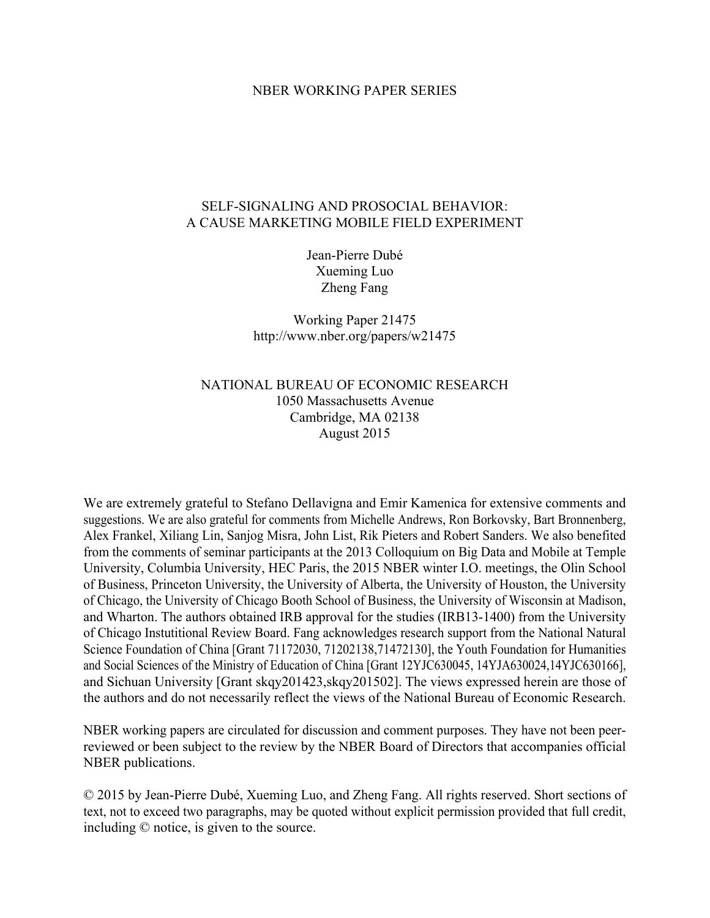#### NBER WORKING PAPER SERIES

#### SELF-SIGNALING AND PROSOCIAL BEHAVIOR: A CAUSE MARKETING MOBILE FIELD EXPERIMENT

Jean-Pierre Dubé Xueming Luo Zheng Fang

Working Paper 21475 http://www.nber.org/papers/w21475

### NATIONAL BUREAU OF ECONOMIC RESEARCH 1050 Massachusetts Avenue Cambridge, MA 02138 August 2015

We are extremely grateful to Stefano Dellavigna and Emir Kamenica for extensive comments and suggestions. We are also grateful for comments from Michelle Andrews, Ron Borkovsky, Bart Bronnenberg, Alex Frankel, Xiliang Lin, Sanjog Misra, John List, Rik Pieters and Robert Sanders. We also benefited from the comments of seminar participants at the 2013 Colloquium on Big Data and Mobile at Temple University, Columbia University, HEC Paris, the 2015 NBER winter I.O. meetings, the Olin School of Business, Princeton University, the University of Alberta, the University of Houston, the University of Chicago, the University of Chicago Booth School of Business, the University of Wisconsin at Madison, and Wharton. The authors obtained IRB approval for the studies (IRB13-1400) from the University of Chicago Instutitional Review Board. Fang acknowledges research support from the National Natural Science Foundation of China [Grant 71172030, 71202138,71472130], the Youth Foundation for Humanities and Social Sciences of the Ministry of Education of China [Grant 12YJC630045, 14YJA630024,14YJC630166], and Sichuan University [Grant skqy201423,skqy201502]. The views expressed herein are those of the authors and do not necessarily reflect the views of the National Bureau of Economic Research.

NBER working papers are circulated for discussion and comment purposes. They have not been peerreviewed or been subject to the review by the NBER Board of Directors that accompanies official NBER publications.

© 2015 by Jean-Pierre Dubé, Xueming Luo, and Zheng Fang. All rights reserved. Short sections of text, not to exceed two paragraphs, may be quoted without explicit permission provided that full credit, including © notice, is given to the source.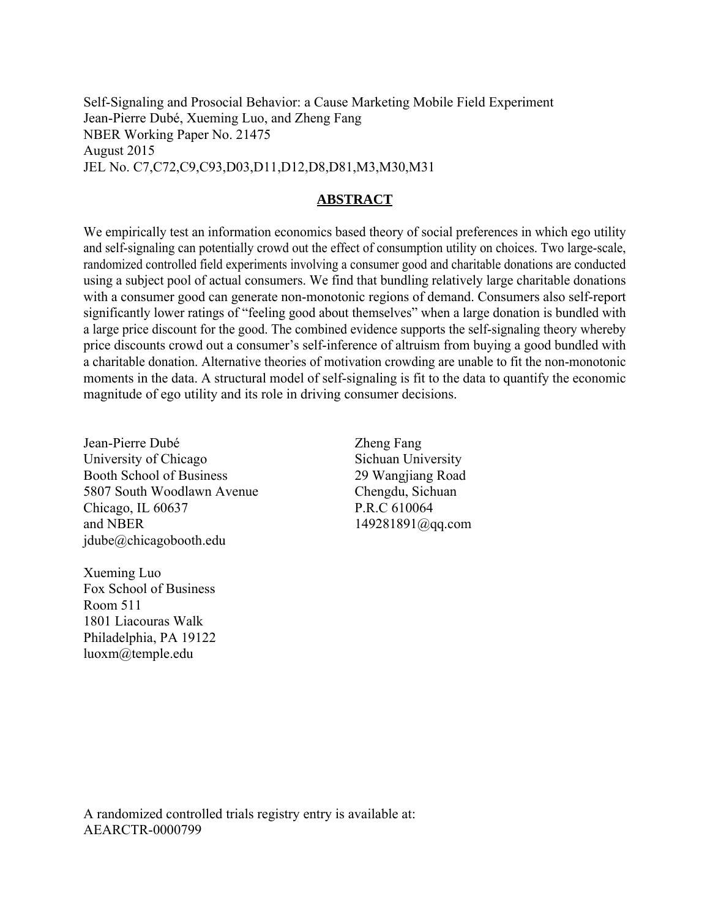Self-Signaling and Prosocial Behavior: a Cause Marketing Mobile Field Experiment Jean-Pierre Dubé, Xueming Luo, and Zheng Fang NBER Working Paper No. 21475 August 2015 JEL No. C7,C72,C9,C93,D03,D11,D12,D8,D81,M3,M30,M31

#### **ABSTRACT**

We empirically test an information economics based theory of social preferences in which ego utility and self-signaling can potentially crowd out the effect of consumption utility on choices. Two large-scale, randomized controlled field experiments involving a consumer good and charitable donations are conducted using a subject pool of actual consumers. We find that bundling relatively large charitable donations with a consumer good can generate non-monotonic regions of demand. Consumers also self-report significantly lower ratings of "feeling good about themselves" when a large donation is bundled with a large price discount for the good. The combined evidence supports the self-signaling theory whereby price discounts crowd out a consumer's self-inference of altruism from buying a good bundled with a charitable donation. Alternative theories of motivation crowding are unable to fit the non-monotonic moments in the data. A structural model of self-signaling is fit to the data to quantify the economic magnitude of ego utility and its role in driving consumer decisions.

Jean-Pierre Dubé University of Chicago Booth School of Business 5807 South Woodlawn Avenue Chicago, IL 60637 and NBER jdube@chicagobooth.edu

Xueming Luo Fox School of Business Room 511 1801 Liacouras Walk Philadelphia, PA 19122 luoxm@temple.edu

Zheng Fang Sichuan University 29 Wangjiang Road Chengdu, Sichuan P.R.C 610064 149281891@qq.com

A randomized controlled trials registry entry is available at: AEARCTR-0000799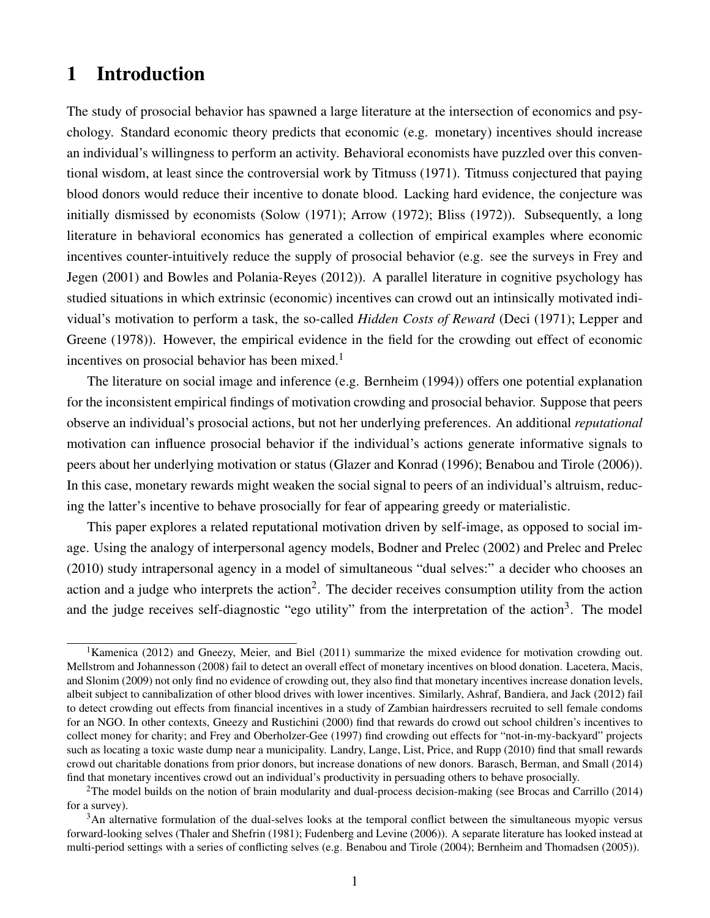# 1 Introduction

The study of prosocial behavior has spawned a large literature at the intersection of economics and psychology. Standard economic theory predicts that economic (e.g. monetary) incentives should increase an individual's willingness to perform an activity. Behavioral economists have puzzled over this conventional wisdom, at least since the controversial work by Titmuss (1971). Titmuss conjectured that paying blood donors would reduce their incentive to donate blood. Lacking hard evidence, the conjecture was initially dismissed by economists (Solow (1971); Arrow (1972); Bliss (1972)). Subsequently, a long literature in behavioral economics has generated a collection of empirical examples where economic incentives counter-intuitively reduce the supply of prosocial behavior (e.g. see the surveys in Frey and Jegen (2001) and Bowles and Polania-Reyes (2012)). A parallel literature in cognitive psychology has studied situations in which extrinsic (economic) incentives can crowd out an intinsically motivated individual's motivation to perform a task, the so-called *Hidden Costs of Reward* (Deci (1971); Lepper and Greene (1978)). However, the empirical evidence in the field for the crowding out effect of economic incentives on prosocial behavior has been mixed.<sup>1</sup>

The literature on social image and inference (e.g. Bernheim (1994)) offers one potential explanation for the inconsistent empirical findings of motivation crowding and prosocial behavior. Suppose that peers observe an individual's prosocial actions, but not her underlying preferences. An additional *reputational* motivation can influence prosocial behavior if the individual's actions generate informative signals to peers about her underlying motivation or status (Glazer and Konrad (1996); Benabou and Tirole (2006)). In this case, monetary rewards might weaken the social signal to peers of an individual's altruism, reducing the latter's incentive to behave prosocially for fear of appearing greedy or materialistic.

This paper explores a related reputational motivation driven by self-image, as opposed to social image. Using the analogy of interpersonal agency models, Bodner and Prelec (2002) and Prelec and Prelec (2010) study intrapersonal agency in a model of simultaneous "dual selves:" a decider who chooses an action and a judge who interprets the action<sup>2</sup>. The decider receives consumption utility from the action and the judge receives self-diagnostic "ego utility" from the interpretation of the action<sup>3</sup>. The model

<sup>&</sup>lt;sup>1</sup>Kamenica (2012) and Gneezy, Meier, and Biel (2011) summarize the mixed evidence for motivation crowding out. Mellstrom and Johannesson (2008) fail to detect an overall effect of monetary incentives on blood donation. Lacetera, Macis, and Slonim (2009) not only find no evidence of crowding out, they also find that monetary incentives increase donation levels, albeit subject to cannibalization of other blood drives with lower incentives. Similarly, Ashraf, Bandiera, and Jack (2012) fail to detect crowding out effects from financial incentives in a study of Zambian hairdressers recruited to sell female condoms for an NGO. In other contexts, Gneezy and Rustichini (2000) find that rewards do crowd out school children's incentives to collect money for charity; and Frey and Oberholzer-Gee (1997) find crowding out effects for "not-in-my-backyard" projects such as locating a toxic waste dump near a municipality. Landry, Lange, List, Price, and Rupp (2010) find that small rewards crowd out charitable donations from prior donors, but increase donations of new donors. Barasch, Berman, and Small (2014) find that monetary incentives crowd out an individual's productivity in persuading others to behave prosocially.

<sup>2</sup>The model builds on the notion of brain modularity and dual-process decision-making (see Brocas and Carrillo (2014) for a survey).

<sup>&</sup>lt;sup>3</sup>An alternative formulation of the dual-selves looks at the temporal conflict between the simultaneous myopic versus forward-looking selves (Thaler and Shefrin (1981); Fudenberg and Levine (2006)). A separate literature has looked instead at multi-period settings with a series of conflicting selves (e.g. Benabou and Tirole (2004); Bernheim and Thomadsen (2005)).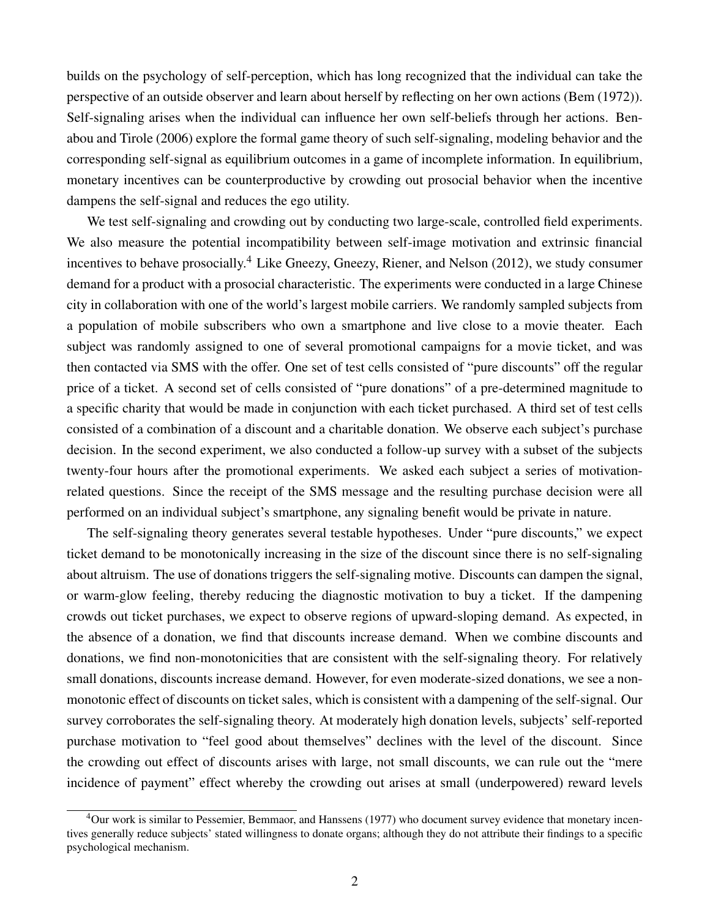builds on the psychology of self-perception, which has long recognized that the individual can take the perspective of an outside observer and learn about herself by reflecting on her own actions (Bem (1972)). Self-signaling arises when the individual can influence her own self-beliefs through her actions. Benabou and Tirole (2006) explore the formal game theory of such self-signaling, modeling behavior and the corresponding self-signal as equilibrium outcomes in a game of incomplete information. In equilibrium, monetary incentives can be counterproductive by crowding out prosocial behavior when the incentive dampens the self-signal and reduces the ego utility.

We test self-signaling and crowding out by conducting two large-scale, controlled field experiments. We also measure the potential incompatibility between self-image motivation and extrinsic financial incentives to behave prosocially.<sup>4</sup> Like Gneezy, Gneezy, Riener, and Nelson (2012), we study consumer demand for a product with a prosocial characteristic. The experiments were conducted in a large Chinese city in collaboration with one of the world's largest mobile carriers. We randomly sampled subjects from a population of mobile subscribers who own a smartphone and live close to a movie theater. Each subject was randomly assigned to one of several promotional campaigns for a movie ticket, and was then contacted via SMS with the offer. One set of test cells consisted of "pure discounts" off the regular price of a ticket. A second set of cells consisted of "pure donations" of a pre-determined magnitude to a specific charity that would be made in conjunction with each ticket purchased. A third set of test cells consisted of a combination of a discount and a charitable donation. We observe each subject's purchase decision. In the second experiment, we also conducted a follow-up survey with a subset of the subjects twenty-four hours after the promotional experiments. We asked each subject a series of motivationrelated questions. Since the receipt of the SMS message and the resulting purchase decision were all performed on an individual subject's smartphone, any signaling benefit would be private in nature.

The self-signaling theory generates several testable hypotheses. Under "pure discounts," we expect ticket demand to be monotonically increasing in the size of the discount since there is no self-signaling about altruism. The use of donations triggers the self-signaling motive. Discounts can dampen the signal, or warm-glow feeling, thereby reducing the diagnostic motivation to buy a ticket. If the dampening crowds out ticket purchases, we expect to observe regions of upward-sloping demand. As expected, in the absence of a donation, we find that discounts increase demand. When we combine discounts and donations, we find non-monotonicities that are consistent with the self-signaling theory. For relatively small donations, discounts increase demand. However, for even moderate-sized donations, we see a nonmonotonic effect of discounts on ticket sales, which is consistent with a dampening of the self-signal. Our survey corroborates the self-signaling theory. At moderately high donation levels, subjects' self-reported purchase motivation to "feel good about themselves" declines with the level of the discount. Since the crowding out effect of discounts arises with large, not small discounts, we can rule out the "mere incidence of payment" effect whereby the crowding out arises at small (underpowered) reward levels

<sup>&</sup>lt;sup>4</sup>Our work is similar to Pessemier, Bemmaor, and Hanssens (1977) who document survey evidence that monetary incentives generally reduce subjects' stated willingness to donate organs; although they do not attribute their findings to a specific psychological mechanism.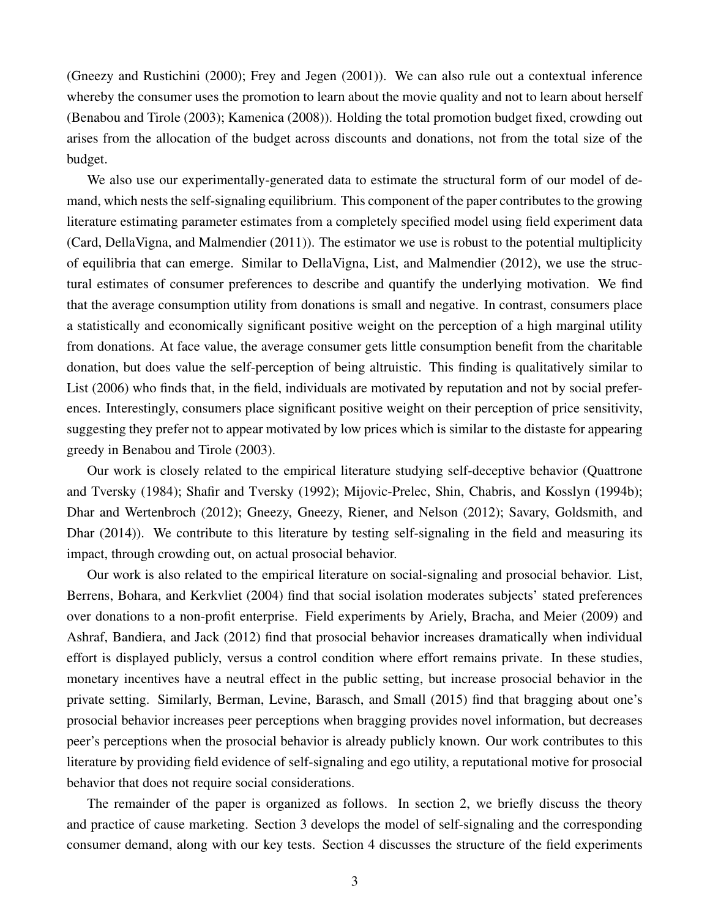(Gneezy and Rustichini (2000); Frey and Jegen (2001)). We can also rule out a contextual inference whereby the consumer uses the promotion to learn about the movie quality and not to learn about herself (Benabou and Tirole (2003); Kamenica (2008)). Holding the total promotion budget fixed, crowding out arises from the allocation of the budget across discounts and donations, not from the total size of the budget.

We also use our experimentally-generated data to estimate the structural form of our model of demand, which nests the self-signaling equilibrium. This component of the paper contributes to the growing literature estimating parameter estimates from a completely specified model using field experiment data (Card, DellaVigna, and Malmendier (2011)). The estimator we use is robust to the potential multiplicity of equilibria that can emerge. Similar to DellaVigna, List, and Malmendier (2012), we use the structural estimates of consumer preferences to describe and quantify the underlying motivation. We find that the average consumption utility from donations is small and negative. In contrast, consumers place a statistically and economically significant positive weight on the perception of a high marginal utility from donations. At face value, the average consumer gets little consumption benefit from the charitable donation, but does value the self-perception of being altruistic. This finding is qualitatively similar to List (2006) who finds that, in the field, individuals are motivated by reputation and not by social preferences. Interestingly, consumers place significant positive weight on their perception of price sensitivity, suggesting they prefer not to appear motivated by low prices which is similar to the distaste for appearing greedy in Benabou and Tirole (2003).

Our work is closely related to the empirical literature studying self-deceptive behavior (Quattrone and Tversky (1984); Shafir and Tversky (1992); Mijovic-Prelec, Shin, Chabris, and Kosslyn (1994b); Dhar and Wertenbroch (2012); Gneezy, Gneezy, Riener, and Nelson (2012); Savary, Goldsmith, and Dhar (2014)). We contribute to this literature by testing self-signaling in the field and measuring its impact, through crowding out, on actual prosocial behavior.

Our work is also related to the empirical literature on social-signaling and prosocial behavior. List, Berrens, Bohara, and Kerkvliet (2004) find that social isolation moderates subjects' stated preferences over donations to a non-profit enterprise. Field experiments by Ariely, Bracha, and Meier (2009) and Ashraf, Bandiera, and Jack (2012) find that prosocial behavior increases dramatically when individual effort is displayed publicly, versus a control condition where effort remains private. In these studies, monetary incentives have a neutral effect in the public setting, but increase prosocial behavior in the private setting. Similarly, Berman, Levine, Barasch, and Small (2015) find that bragging about one's prosocial behavior increases peer perceptions when bragging provides novel information, but decreases peer's perceptions when the prosocial behavior is already publicly known. Our work contributes to this literature by providing field evidence of self-signaling and ego utility, a reputational motive for prosocial behavior that does not require social considerations.

The remainder of the paper is organized as follows. In section 2, we briefly discuss the theory and practice of cause marketing. Section 3 develops the model of self-signaling and the corresponding consumer demand, along with our key tests. Section 4 discusses the structure of the field experiments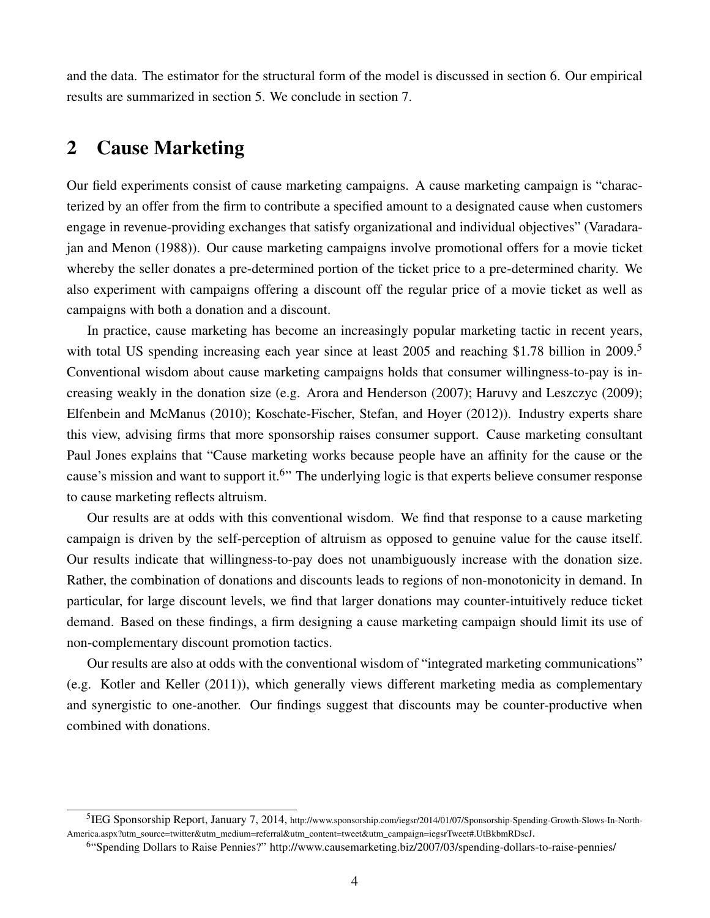and the data. The estimator for the structural form of the model is discussed in section 6. Our empirical results are summarized in section 5. We conclude in section 7.

### 2 Cause Marketing

Our field experiments consist of cause marketing campaigns. A cause marketing campaign is "characterized by an offer from the firm to contribute a specified amount to a designated cause when customers engage in revenue-providing exchanges that satisfy organizational and individual objectives" (Varadarajan and Menon (1988)). Our cause marketing campaigns involve promotional offers for a movie ticket whereby the seller donates a pre-determined portion of the ticket price to a pre-determined charity. We also experiment with campaigns offering a discount off the regular price of a movie ticket as well as campaigns with both a donation and a discount.

In practice, cause marketing has become an increasingly popular marketing tactic in recent years, with total US spending increasing each year since at least 2005 and reaching \$1.78 billion in 2009.<sup>5</sup> Conventional wisdom about cause marketing campaigns holds that consumer willingness-to-pay is increasing weakly in the donation size (e.g. Arora and Henderson (2007); Haruvy and Leszczyc (2009); Elfenbein and McManus (2010); Koschate-Fischer, Stefan, and Hoyer (2012)). Industry experts share this view, advising firms that more sponsorship raises consumer support. Cause marketing consultant Paul Jones explains that "Cause marketing works because people have an affinity for the cause or the cause's mission and want to support it.<sup>6</sup>" The underlying logic is that experts believe consumer response to cause marketing reflects altruism.

Our results are at odds with this conventional wisdom. We find that response to a cause marketing campaign is driven by the self-perception of altruism as opposed to genuine value for the cause itself. Our results indicate that willingness-to-pay does not unambiguously increase with the donation size. Rather, the combination of donations and discounts leads to regions of non-monotonicity in demand. In particular, for large discount levels, we find that larger donations may counter-intuitively reduce ticket demand. Based on these findings, a firm designing a cause marketing campaign should limit its use of non-complementary discount promotion tactics.

Our results are also at odds with the conventional wisdom of "integrated marketing communications" (e.g. Kotler and Keller (2011)), which generally views different marketing media as complementary and synergistic to one-another. Our findings suggest that discounts may be counter-productive when combined with donations.

<sup>5</sup> IEG Sponsorship Report, January 7, 2014, http://www.sponsorship.com/iegsr/2014/01/07/Sponsorship-Spending-Growth-Slows-In-North-America.aspx?utm\_source=twitter&utm\_medium=referral&utm\_content=tweet&utm\_campaign=iegsrTweet#.UtBkbmRDscJ.

<sup>6</sup> "Spending Dollars to Raise Pennies?" http://www.causemarketing.biz/2007/03/spending-dollars-to-raise-pennies/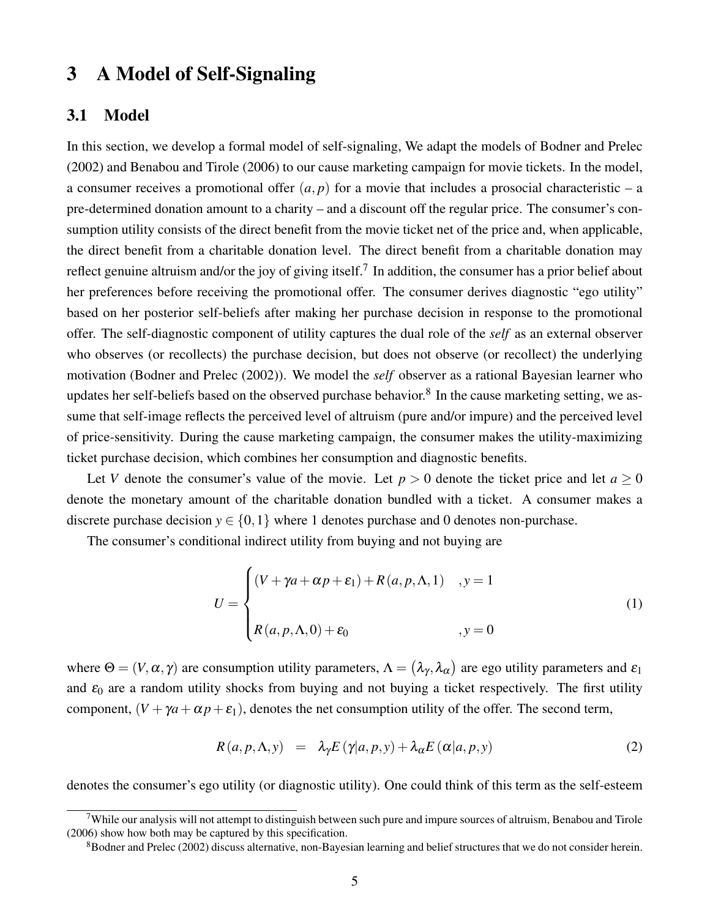## 3 A Model of Self-Signaling

### 3.1 Model

In this section, we develop a formal model of self-signaling, We adapt the models of Bodner and Prelec (2002) and Benabou and Tirole (2006) to our cause marketing campaign for movie tickets. In the model, a consumer receives a promotional offer  $(a, p)$  for a movie that includes a prosocial characteristic – a pre-determined donation amount to a charity – and a discount off the regular price. The consumer's consumption utility consists of the direct benefit from the movie ticket net of the price and, when applicable, the direct benefit from a charitable donation level. The direct benefit from a charitable donation may reflect genuine altruism and/or the joy of giving itself.<sup>7</sup> In addition, the consumer has a prior belief about her preferences before receiving the promotional offer. The consumer derives diagnostic "ego utility" based on her posterior self-beliefs after making her purchase decision in response to the promotional offer. The self-diagnostic component of utility captures the dual role of the *self* as an external observer who observes (or recollects) the purchase decision, but does not observe (or recollect) the underlying motivation (Bodner and Prelec (2002)). We model the *self* observer as a rational Bayesian learner who updates her self-beliefs based on the observed purchase behavior.<sup>8</sup> In the cause marketing setting, we assume that self-image reflects the perceived level of altruism (pure and/or impure) and the perceived level of price-sensitivity. During the cause marketing campaign, the consumer makes the utility-maximizing ticket purchase decision, which combines her consumption and diagnostic benefits.

Let *V* denote the consumer's value of the movie. Let  $p > 0$  denote the ticket price and let  $a > 0$ denote the monetary amount of the charitable donation bundled with a ticket. A consumer makes a discrete purchase decision  $y \in \{0, 1\}$  where 1 denotes purchase and 0 denotes non-purchase.

The consumer's conditional indirect utility from buying and not buying are

$$
U = \begin{cases} (V + \gamma a + \alpha p + \varepsilon_1) + R(a, p, \Lambda, 1) & , y = 1 \\ R(a, p, \Lambda, 0) + \varepsilon_0 & , y = 0 \end{cases}
$$
 (1)

where  $\Theta = (V, \alpha, \gamma)$  are consumption utility parameters,  $\Lambda = (\lambda_{\gamma}, \lambda_{\alpha})$  are ego utility parameters and  $\varepsilon_1$ and  $\varepsilon_0$  are a random utility shocks from buying and not buying a ticket respectively. The first utility component,  $(V + \gamma a + \alpha p + \varepsilon_1)$ , denotes the net consumption utility of the offer. The second term,

$$
R(a, p, \Lambda, y) = \lambda_{\gamma} E(\gamma|a, p, y) + \lambda_{\alpha} E(\alpha|a, p, y)
$$
 (2)

denotes the consumer's ego utility (or diagnostic utility). One could think of this term as the self-esteem

<sup>&</sup>lt;sup>7</sup>While our analysis will not attempt to distinguish between such pure and impure sources of altruism, Benabou and Tirole (2006) show how both may be captured by this specification.

<sup>8</sup>Bodner and Prelec (2002) discuss alternative, non-Bayesian learning and belief structures that we do not consider herein.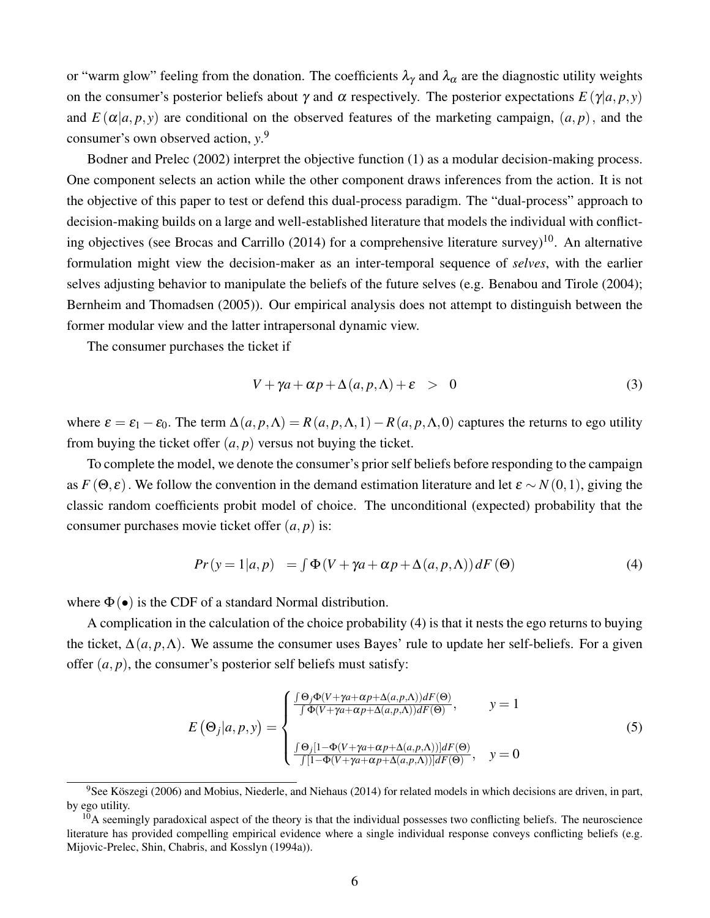or "warm glow" feeling from the donation. The coefficients  $\lambda_{\gamma}$  and  $\lambda_{\alpha}$  are the diagnostic utility weights on the consumer's posterior beliefs about  $\gamma$  and  $\alpha$  respectively. The posterior expectations  $E(\gamma|a, p, y)$ and  $E(\alpha|a, p, y)$  are conditional on the observed features of the marketing campaign,  $(a, p)$ , and the consumer's own observed action, *y*. 9

Bodner and Prelec (2002) interpret the objective function (1) as a modular decision-making process. One component selects an action while the other component draws inferences from the action. It is not the objective of this paper to test or defend this dual-process paradigm. The "dual-process" approach to decision-making builds on a large and well-established literature that models the individual with conflicting objectives (see Brocas and Carrillo  $(2014)$  for a comprehensive literature survey)<sup>10</sup>. An alternative formulation might view the decision-maker as an inter-temporal sequence of *selves*, with the earlier selves adjusting behavior to manipulate the beliefs of the future selves (e.g. Benabou and Tirole (2004); Bernheim and Thomadsen (2005)). Our empirical analysis does not attempt to distinguish between the former modular view and the latter intrapersonal dynamic view.

The consumer purchases the ticket if

$$
V + \gamma a + \alpha p + \Delta(a, p, \Lambda) + \varepsilon > 0 \tag{3}
$$

where  $\varepsilon = \varepsilon_1 - \varepsilon_0$ . The term  $\Delta(a, p, \Lambda) = R(a, p, \Lambda, 1) - R(a, p, \Lambda, 0)$  captures the returns to ego utility from buying the ticket offer  $(a, p)$  versus not buying the ticket.

To complete the model, we denote the consumer's prior self beliefs before responding to the campaign as *F* ( $\Theta$ ,  $\varepsilon$ ). We follow the convention in the demand estimation literature and let  $\varepsilon \sim N(0,1)$ , giving the classic random coefficients probit model of choice. The unconditional (expected) probability that the consumer purchases movie ticket offer (*a*, *p*) is:

$$
Pr(y = 1|a, p) = \int \Phi(V + \gamma a + \alpha p + \Delta(a, p, \Lambda)) dF(\Theta)
$$
\n(4)

where  $\Phi(\bullet)$  is the CDF of a standard Normal distribution.

A complication in the calculation of the choice probability (4) is that it nests the ego returns to buying the ticket,  $\Delta(a, p, \Lambda)$ . We assume the consumer uses Bayes' rule to update her self-beliefs. For a given offer  $(a, p)$ , the consumer's posterior self beliefs must satisfy:

$$
E(\Theta_j|a, p, y) = \begin{cases} \frac{\int \Theta_j \Phi(V + \gamma a + \alpha p + \Delta(a, p, \Lambda)) dF(\Theta)}{\int \Phi(V + \gamma a + \alpha p + \Delta(a, p, \Lambda)) dF(\Theta)}, & y = 1\\ \frac{\int \Theta_j [1 - \Phi(V + \gamma a + \alpha p + \Delta(a, p, \Lambda))] dF(\Theta)}{\int [1 - \Phi(V + \gamma a + \alpha p + \Delta(a, p, \Lambda))] dF(\Theta)}, & y = 0 \end{cases}
$$
(5)

<sup>&</sup>lt;sup>9</sup>See Köszegi (2006) and Mobius, Niederle, and Niehaus (2014) for related models in which decisions are driven, in part, by ego utility.

 $^{10}$ A seemingly paradoxical aspect of the theory is that the individual possesses two conflicting beliefs. The neuroscience literature has provided compelling empirical evidence where a single individual response conveys conflicting beliefs (e.g. Mijovic-Prelec, Shin, Chabris, and Kosslyn (1994a)).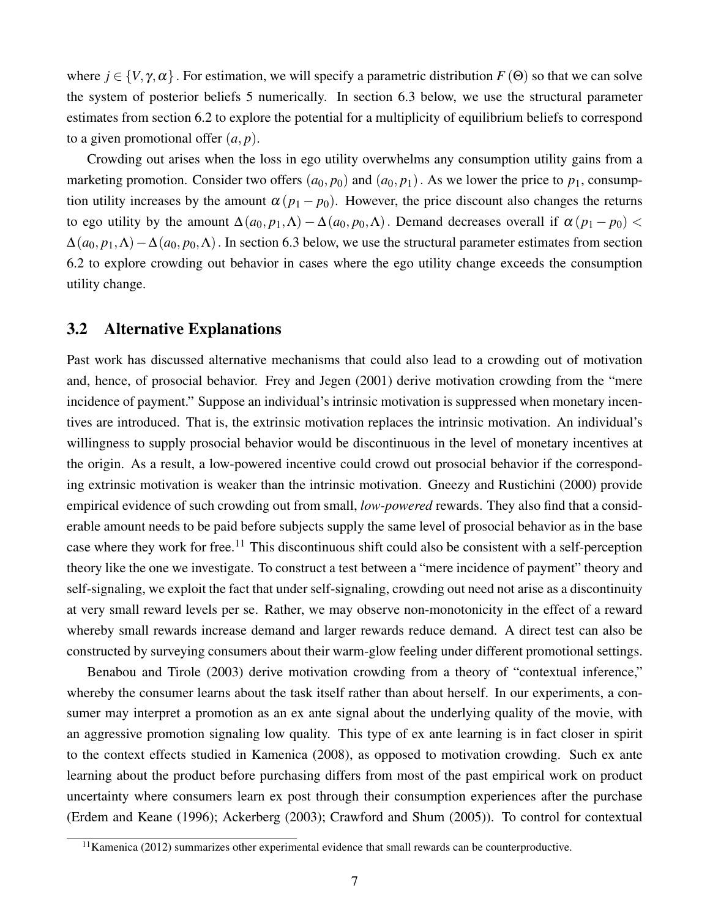where  $j \in \{V, \gamma, \alpha\}$ . For estimation, we will specify a parametric distribution  $F(\Theta)$  so that we can solve the system of posterior beliefs 5 numerically. In section 6.3 below, we use the structural parameter estimates from section 6.2 to explore the potential for a multiplicity of equilibrium beliefs to correspond to a given promotional offer  $(a, p)$ .

Crowding out arises when the loss in ego utility overwhelms any consumption utility gains from a marketing promotion. Consider two offers  $(a_0, p_0)$  and  $(a_0, p_1)$ . As we lower the price to  $p_1$ , consumption utility increases by the amount  $\alpha (p_1 - p_0)$ . However, the price discount also changes the returns to ego utility by the amount  $\Delta(a_0, p_1, \Lambda) - \Delta(a_0, p_0, \Lambda)$ . Demand decreases overall if  $\alpha(p_1 - p_0)$  $\Delta(a_0, p_1, \Lambda) - \Delta(a_0, p_0, \Lambda)$ . In section 6.3 below, we use the structural parameter estimates from section 6.2 to explore crowding out behavior in cases where the ego utility change exceeds the consumption utility change.

### 3.2 Alternative Explanations

Past work has discussed alternative mechanisms that could also lead to a crowding out of motivation and, hence, of prosocial behavior. Frey and Jegen (2001) derive motivation crowding from the "mere incidence of payment." Suppose an individual's intrinsic motivation is suppressed when monetary incentives are introduced. That is, the extrinsic motivation replaces the intrinsic motivation. An individual's willingness to supply prosocial behavior would be discontinuous in the level of monetary incentives at the origin. As a result, a low-powered incentive could crowd out prosocial behavior if the corresponding extrinsic motivation is weaker than the intrinsic motivation. Gneezy and Rustichini (2000) provide empirical evidence of such crowding out from small, *low-powered* rewards. They also find that a considerable amount needs to be paid before subjects supply the same level of prosocial behavior as in the base case where they work for free.<sup>11</sup> This discontinuous shift could also be consistent with a self-perception theory like the one we investigate. To construct a test between a "mere incidence of payment" theory and self-signaling, we exploit the fact that under self-signaling, crowding out need not arise as a discontinuity at very small reward levels per se. Rather, we may observe non-monotonicity in the effect of a reward whereby small rewards increase demand and larger rewards reduce demand. A direct test can also be constructed by surveying consumers about their warm-glow feeling under different promotional settings.

Benabou and Tirole (2003) derive motivation crowding from a theory of "contextual inference," whereby the consumer learns about the task itself rather than about herself. In our experiments, a consumer may interpret a promotion as an ex ante signal about the underlying quality of the movie, with an aggressive promotion signaling low quality. This type of ex ante learning is in fact closer in spirit to the context effects studied in Kamenica (2008), as opposed to motivation crowding. Such ex ante learning about the product before purchasing differs from most of the past empirical work on product uncertainty where consumers learn ex post through their consumption experiences after the purchase (Erdem and Keane (1996); Ackerberg (2003); Crawford and Shum (2005)). To control for contextual

 $11$ Kamenica (2012) summarizes other experimental evidence that small rewards can be counterproductive.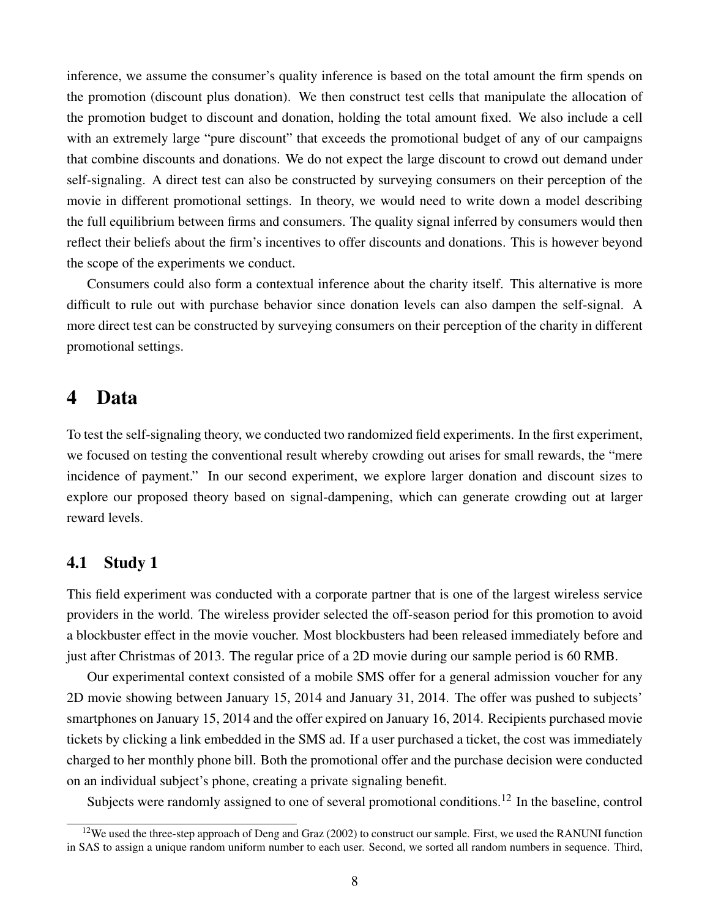inference, we assume the consumer's quality inference is based on the total amount the firm spends on the promotion (discount plus donation). We then construct test cells that manipulate the allocation of the promotion budget to discount and donation, holding the total amount fixed. We also include a cell with an extremely large "pure discount" that exceeds the promotional budget of any of our campaigns that combine discounts and donations. We do not expect the large discount to crowd out demand under self-signaling. A direct test can also be constructed by surveying consumers on their perception of the movie in different promotional settings. In theory, we would need to write down a model describing the full equilibrium between firms and consumers. The quality signal inferred by consumers would then reflect their beliefs about the firm's incentives to offer discounts and donations. This is however beyond the scope of the experiments we conduct.

Consumers could also form a contextual inference about the charity itself. This alternative is more difficult to rule out with purchase behavior since donation levels can also dampen the self-signal. A more direct test can be constructed by surveying consumers on their perception of the charity in different promotional settings.

### 4 Data

To test the self-signaling theory, we conducted two randomized field experiments. In the first experiment, we focused on testing the conventional result whereby crowding out arises for small rewards, the "mere incidence of payment." In our second experiment, we explore larger donation and discount sizes to explore our proposed theory based on signal-dampening, which can generate crowding out at larger reward levels.

### 4.1 Study 1

This field experiment was conducted with a corporate partner that is one of the largest wireless service providers in the world. The wireless provider selected the off-season period for this promotion to avoid a blockbuster effect in the movie voucher. Most blockbusters had been released immediately before and just after Christmas of 2013. The regular price of a 2D movie during our sample period is 60 RMB.

Our experimental context consisted of a mobile SMS offer for a general admission voucher for any 2D movie showing between January 15, 2014 and January 31, 2014. The offer was pushed to subjects' smartphones on January 15, 2014 and the offer expired on January 16, 2014. Recipients purchased movie tickets by clicking a link embedded in the SMS ad. If a user purchased a ticket, the cost was immediately charged to her monthly phone bill. Both the promotional offer and the purchase decision were conducted on an individual subject's phone, creating a private signaling benefit.

Subjects were randomly assigned to one of several promotional conditions.<sup>12</sup> In the baseline, control

 $12$ We used the three-step approach of Deng and Graz (2002) to construct our sample. First, we used the RANUNI function in SAS to assign a unique random uniform number to each user. Second, we sorted all random numbers in sequence. Third,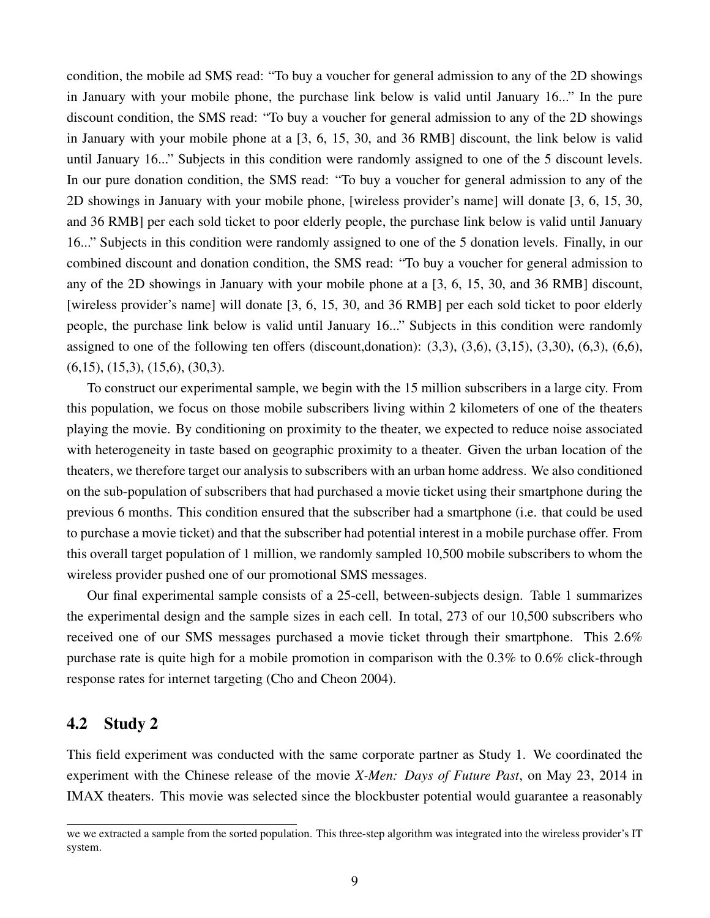condition, the mobile ad SMS read: "To buy a voucher for general admission to any of the 2D showings in January with your mobile phone, the purchase link below is valid until January 16..." In the pure discount condition, the SMS read: "To buy a voucher for general admission to any of the 2D showings in January with your mobile phone at a [3, 6, 15, 30, and 36 RMB] discount, the link below is valid until January 16..." Subjects in this condition were randomly assigned to one of the 5 discount levels. In our pure donation condition, the SMS read: "To buy a voucher for general admission to any of the 2D showings in January with your mobile phone, [wireless provider's name] will donate [3, 6, 15, 30, and 36 RMB] per each sold ticket to poor elderly people, the purchase link below is valid until January 16..." Subjects in this condition were randomly assigned to one of the 5 donation levels. Finally, in our combined discount and donation condition, the SMS read: "To buy a voucher for general admission to any of the 2D showings in January with your mobile phone at a [3, 6, 15, 30, and 36 RMB] discount, [wireless provider's name] will donate [3, 6, 15, 30, and 36 RMB] per each sold ticket to poor elderly people, the purchase link below is valid until January 16..." Subjects in this condition were randomly assigned to one of the following ten offers (discount,donation):  $(3,3)$ ,  $(3,6)$ ,  $(3,15)$ ,  $(3,30)$ ,  $(6,3)$ ,  $(6,6)$ , (6,15), (15,3), (15,6), (30,3).

To construct our experimental sample, we begin with the 15 million subscribers in a large city. From this population, we focus on those mobile subscribers living within 2 kilometers of one of the theaters playing the movie. By conditioning on proximity to the theater, we expected to reduce noise associated with heterogeneity in taste based on geographic proximity to a theater. Given the urban location of the theaters, we therefore target our analysis to subscribers with an urban home address. We also conditioned on the sub-population of subscribers that had purchased a movie ticket using their smartphone during the previous 6 months. This condition ensured that the subscriber had a smartphone (i.e. that could be used to purchase a movie ticket) and that the subscriber had potential interest in a mobile purchase offer. From this overall target population of 1 million, we randomly sampled 10,500 mobile subscribers to whom the wireless provider pushed one of our promotional SMS messages.

Our final experimental sample consists of a 25-cell, between-subjects design. Table 1 summarizes the experimental design and the sample sizes in each cell. In total, 273 of our 10,500 subscribers who received one of our SMS messages purchased a movie ticket through their smartphone. This 2.6% purchase rate is quite high for a mobile promotion in comparison with the 0.3% to 0.6% click-through response rates for internet targeting (Cho and Cheon 2004).

### 4.2 Study 2

This field experiment was conducted with the same corporate partner as Study 1. We coordinated the experiment with the Chinese release of the movie *X-Men: Days of Future Past*, on May 23, 2014 in IMAX theaters. This movie was selected since the blockbuster potential would guarantee a reasonably

we we extracted a sample from the sorted population. This three-step algorithm was integrated into the wireless provider's IT system.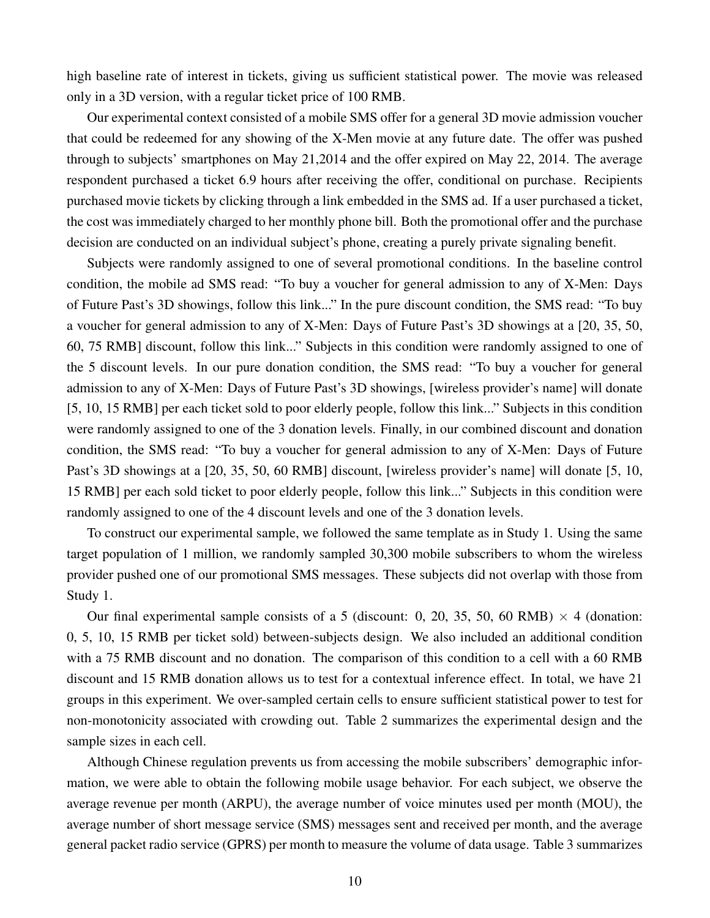high baseline rate of interest in tickets, giving us sufficient statistical power. The movie was released only in a 3D version, with a regular ticket price of 100 RMB.

Our experimental context consisted of a mobile SMS offer for a general 3D movie admission voucher that could be redeemed for any showing of the X-Men movie at any future date. The offer was pushed through to subjects' smartphones on May 21,2014 and the offer expired on May 22, 2014. The average respondent purchased a ticket 6.9 hours after receiving the offer, conditional on purchase. Recipients purchased movie tickets by clicking through a link embedded in the SMS ad. If a user purchased a ticket, the cost was immediately charged to her monthly phone bill. Both the promotional offer and the purchase decision are conducted on an individual subject's phone, creating a purely private signaling benefit.

Subjects were randomly assigned to one of several promotional conditions. In the baseline control condition, the mobile ad SMS read: "To buy a voucher for general admission to any of X-Men: Days of Future Past's 3D showings, follow this link..." In the pure discount condition, the SMS read: "To buy a voucher for general admission to any of X-Men: Days of Future Past's 3D showings at a [20, 35, 50, 60, 75 RMB] discount, follow this link..." Subjects in this condition were randomly assigned to one of the 5 discount levels. In our pure donation condition, the SMS read: "To buy a voucher for general admission to any of X-Men: Days of Future Past's 3D showings, [wireless provider's name] will donate [5, 10, 15 RMB] per each ticket sold to poor elderly people, follow this link..." Subjects in this condition were randomly assigned to one of the 3 donation levels. Finally, in our combined discount and donation condition, the SMS read: "To buy a voucher for general admission to any of X-Men: Days of Future Past's 3D showings at a [20, 35, 50, 60 RMB] discount, [wireless provider's name] will donate [5, 10, 15 RMB] per each sold ticket to poor elderly people, follow this link..." Subjects in this condition were randomly assigned to one of the 4 discount levels and one of the 3 donation levels.

To construct our experimental sample, we followed the same template as in Study 1. Using the same target population of 1 million, we randomly sampled 30,300 mobile subscribers to whom the wireless provider pushed one of our promotional SMS messages. These subjects did not overlap with those from Study 1.

Our final experimental sample consists of a 5 (discount: 0, 20, 35, 50, 60 RMB)  $\times$  4 (donation: 0, 5, 10, 15 RMB per ticket sold) between-subjects design. We also included an additional condition with a 75 RMB discount and no donation. The comparison of this condition to a cell with a 60 RMB discount and 15 RMB donation allows us to test for a contextual inference effect. In total, we have 21 groups in this experiment. We over-sampled certain cells to ensure sufficient statistical power to test for non-monotonicity associated with crowding out. Table 2 summarizes the experimental design and the sample sizes in each cell.

Although Chinese regulation prevents us from accessing the mobile subscribers' demographic information, we were able to obtain the following mobile usage behavior. For each subject, we observe the average revenue per month (ARPU), the average number of voice minutes used per month (MOU), the average number of short message service (SMS) messages sent and received per month, and the average general packet radio service (GPRS) per month to measure the volume of data usage. Table 3 summarizes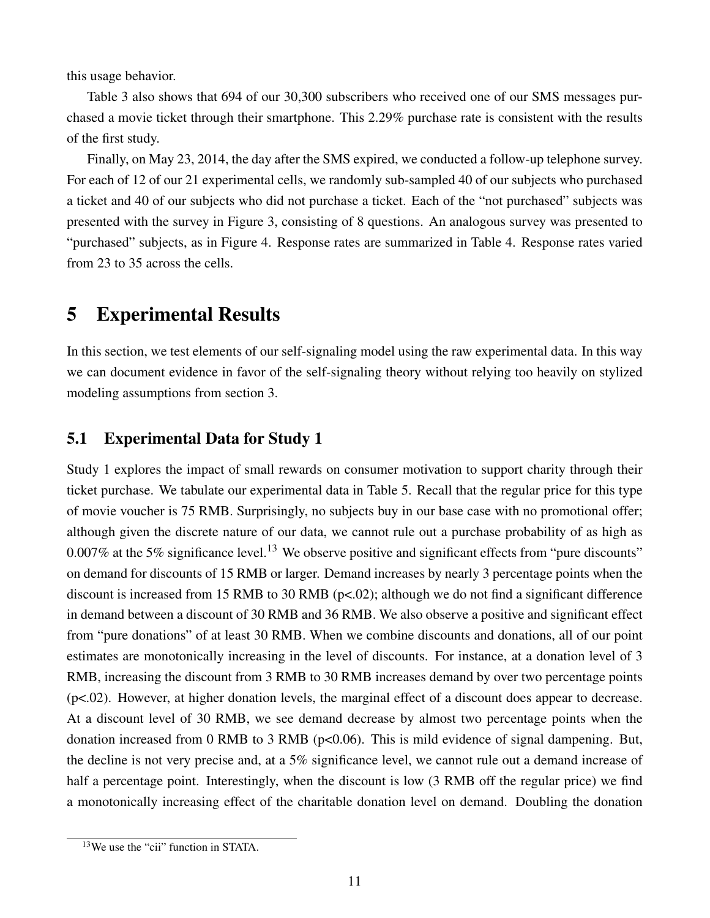this usage behavior.

Table 3 also shows that 694 of our 30,300 subscribers who received one of our SMS messages purchased a movie ticket through their smartphone. This 2.29% purchase rate is consistent with the results of the first study.

Finally, on May 23, 2014, the day after the SMS expired, we conducted a follow-up telephone survey. For each of 12 of our 21 experimental cells, we randomly sub-sampled 40 of our subjects who purchased a ticket and 40 of our subjects who did not purchase a ticket. Each of the "not purchased" subjects was presented with the survey in Figure 3, consisting of 8 questions. An analogous survey was presented to "purchased" subjects, as in Figure 4. Response rates are summarized in Table 4. Response rates varied from 23 to 35 across the cells.

# 5 Experimental Results

In this section, we test elements of our self-signaling model using the raw experimental data. In this way we can document evidence in favor of the self-signaling theory without relying too heavily on stylized modeling assumptions from section 3.

### 5.1 Experimental Data for Study 1

Study 1 explores the impact of small rewards on consumer motivation to support charity through their ticket purchase. We tabulate our experimental data in Table 5. Recall that the regular price for this type of movie voucher is 75 RMB. Surprisingly, no subjects buy in our base case with no promotional offer; although given the discrete nature of our data, we cannot rule out a purchase probability of as high as 0.007% at the 5% significance level.<sup>13</sup> We observe positive and significant effects from "pure discounts" on demand for discounts of 15 RMB or larger. Demand increases by nearly 3 percentage points when the discount is increased from 15 RMB to 30 RMB (p<.02); although we do not find a significant difference in demand between a discount of 30 RMB and 36 RMB. We also observe a positive and significant effect from "pure donations" of at least 30 RMB. When we combine discounts and donations, all of our point estimates are monotonically increasing in the level of discounts. For instance, at a donation level of 3 RMB, increasing the discount from 3 RMB to 30 RMB increases demand by over two percentage points (p<.02). However, at higher donation levels, the marginal effect of a discount does appear to decrease. At a discount level of 30 RMB, we see demand decrease by almost two percentage points when the donation increased from 0 RMB to 3 RMB (p<0.06). This is mild evidence of signal dampening. But, the decline is not very precise and, at a 5% significance level, we cannot rule out a demand increase of half a percentage point. Interestingly, when the discount is low (3 RMB off the regular price) we find a monotonically increasing effect of the charitable donation level on demand. Doubling the donation

<sup>13</sup>We use the "cii" function in STATA.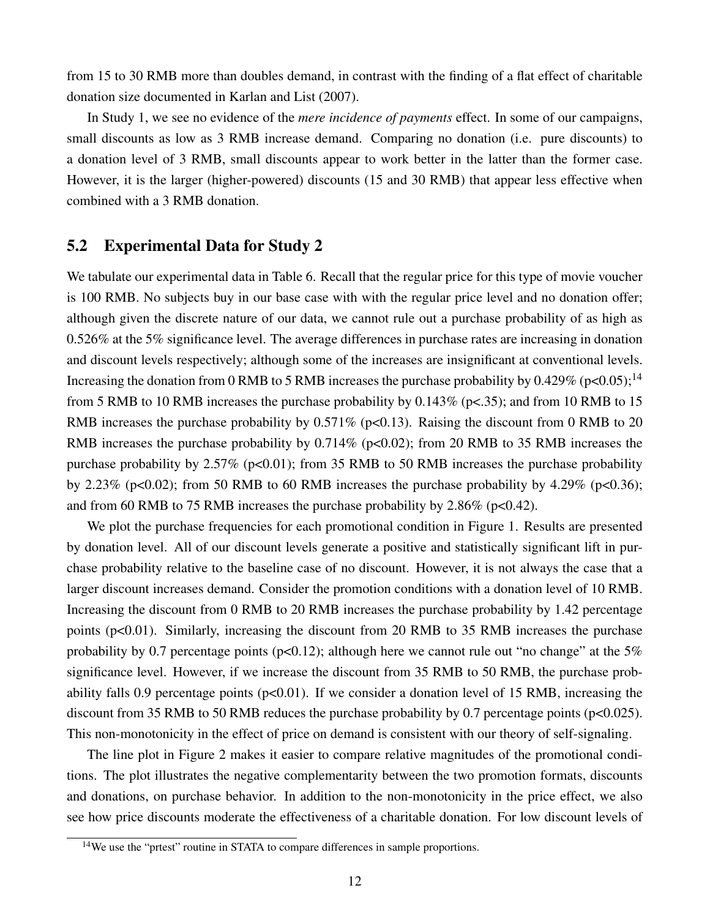from 15 to 30 RMB more than doubles demand, in contrast with the finding of a flat effect of charitable donation size documented in Karlan and List (2007).

In Study 1, we see no evidence of the *mere incidence of payments* effect. In some of our campaigns, small discounts as low as 3 RMB increase demand. Comparing no donation (i.e. pure discounts) to a donation level of 3 RMB, small discounts appear to work better in the latter than the former case. However, it is the larger (higher-powered) discounts (15 and 30 RMB) that appear less effective when combined with a 3 RMB donation.

#### 5.2 Experimental Data for Study 2

We tabulate our experimental data in Table 6. Recall that the regular price for this type of movie voucher is 100 RMB. No subjects buy in our base case with with the regular price level and no donation offer; although given the discrete nature of our data, we cannot rule out a purchase probability of as high as 0.526% at the 5% significance level. The average differences in purchase rates are increasing in donation and discount levels respectively; although some of the increases are insignificant at conventional levels. Increasing the donation from 0 RMB to 5 RMB increases the purchase probability by  $0.429\%$  (p<0.05);<sup>14</sup> from 5 RMB to 10 RMB increases the purchase probability by 0.143% (p<.35); and from 10 RMB to 15 RMB increases the purchase probability by  $0.571\%$  (p<0.13). Raising the discount from 0 RMB to 20 RMB increases the purchase probability by  $0.714\%$  (p<0.02); from 20 RMB to 35 RMB increases the purchase probability by 2.57% ( $p<0.01$ ); from 35 RMB to 50 RMB increases the purchase probability by 2.23% (p<0.02); from 50 RMB to 60 RMB increases the purchase probability by 4.29% (p<0.36); and from 60 RMB to 75 RMB increases the purchase probability by 2.86% ( $p<0.42$ ).

We plot the purchase frequencies for each promotional condition in Figure 1. Results are presented by donation level. All of our discount levels generate a positive and statistically significant lift in purchase probability relative to the baseline case of no discount. However, it is not always the case that a larger discount increases demand. Consider the promotion conditions with a donation level of 10 RMB. Increasing the discount from 0 RMB to 20 RMB increases the purchase probability by 1.42 percentage points (p<0.01). Similarly, increasing the discount from 20 RMB to 35 RMB increases the purchase probability by 0.7 percentage points ( $p<0.12$ ); although here we cannot rule out "no change" at the 5% significance level. However, if we increase the discount from 35 RMB to 50 RMB, the purchase probability falls 0.9 percentage points  $(p<0.01)$ . If we consider a donation level of 15 RMB, increasing the discount from 35 RMB to 50 RMB reduces the purchase probability by 0.7 percentage points (p<0.025). This non-monotonicity in the effect of price on demand is consistent with our theory of self-signaling.

The line plot in Figure 2 makes it easier to compare relative magnitudes of the promotional conditions. The plot illustrates the negative complementarity between the two promotion formats, discounts and donations, on purchase behavior. In addition to the non-monotonicity in the price effect, we also see how price discounts moderate the effectiveness of a charitable donation. For low discount levels of

<sup>&</sup>lt;sup>14</sup>We use the "prtest" routine in STATA to compare differences in sample proportions.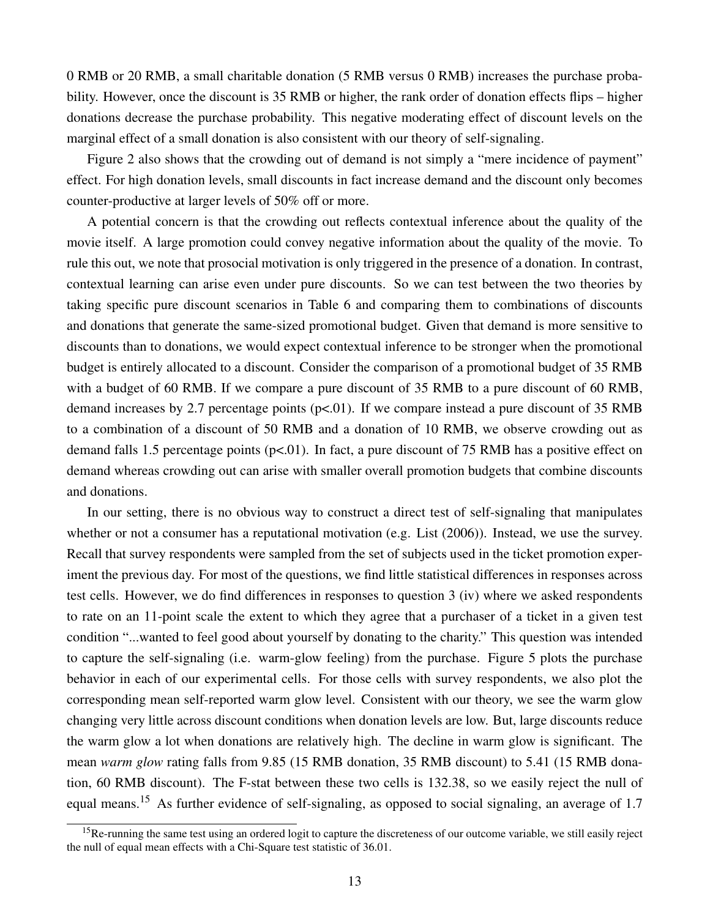0 RMB or 20 RMB, a small charitable donation (5 RMB versus 0 RMB) increases the purchase probability. However, once the discount is 35 RMB or higher, the rank order of donation effects flips – higher donations decrease the purchase probability. This negative moderating effect of discount levels on the marginal effect of a small donation is also consistent with our theory of self-signaling.

Figure 2 also shows that the crowding out of demand is not simply a "mere incidence of payment" effect. For high donation levels, small discounts in fact increase demand and the discount only becomes counter-productive at larger levels of 50% off or more.

A potential concern is that the crowding out reflects contextual inference about the quality of the movie itself. A large promotion could convey negative information about the quality of the movie. To rule this out, we note that prosocial motivation is only triggered in the presence of a donation. In contrast, contextual learning can arise even under pure discounts. So we can test between the two theories by taking specific pure discount scenarios in Table 6 and comparing them to combinations of discounts and donations that generate the same-sized promotional budget. Given that demand is more sensitive to discounts than to donations, we would expect contextual inference to be stronger when the promotional budget is entirely allocated to a discount. Consider the comparison of a promotional budget of 35 RMB with a budget of 60 RMB. If we compare a pure discount of 35 RMB to a pure discount of 60 RMB, demand increases by 2.7 percentage points ( $p<0$ 1). If we compare instead a pure discount of 35 RMB to a combination of a discount of 50 RMB and a donation of 10 RMB, we observe crowding out as demand falls 1.5 percentage points  $(p<.01)$ . In fact, a pure discount of 75 RMB has a positive effect on demand whereas crowding out can arise with smaller overall promotion budgets that combine discounts and donations.

In our setting, there is no obvious way to construct a direct test of self-signaling that manipulates whether or not a consumer has a reputational motivation (e.g. List (2006)). Instead, we use the survey. Recall that survey respondents were sampled from the set of subjects used in the ticket promotion experiment the previous day. For most of the questions, we find little statistical differences in responses across test cells. However, we do find differences in responses to question 3 (iv) where we asked respondents to rate on an 11-point scale the extent to which they agree that a purchaser of a ticket in a given test condition "...wanted to feel good about yourself by donating to the charity." This question was intended to capture the self-signaling (i.e. warm-glow feeling) from the purchase. Figure 5 plots the purchase behavior in each of our experimental cells. For those cells with survey respondents, we also plot the corresponding mean self-reported warm glow level. Consistent with our theory, we see the warm glow changing very little across discount conditions when donation levels are low. But, large discounts reduce the warm glow a lot when donations are relatively high. The decline in warm glow is significant. The mean *warm glow* rating falls from 9.85 (15 RMB donation, 35 RMB discount) to 5.41 (15 RMB donation, 60 RMB discount). The F-stat between these two cells is 132.38, so we easily reject the null of equal means.<sup>15</sup> As further evidence of self-signaling, as opposed to social signaling, an average of 1.7

 $15$ Re-running the same test using an ordered logit to capture the discreteness of our outcome variable, we still easily reject the null of equal mean effects with a Chi-Square test statistic of 36.01.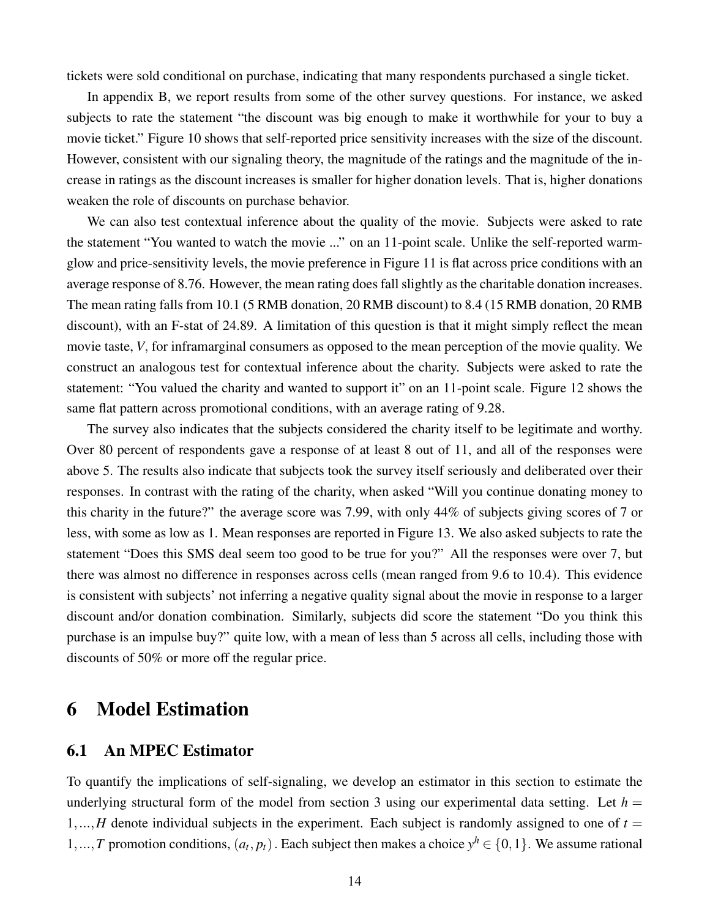tickets were sold conditional on purchase, indicating that many respondents purchased a single ticket.

In appendix B, we report results from some of the other survey questions. For instance, we asked subjects to rate the statement "the discount was big enough to make it worthwhile for your to buy a movie ticket." Figure 10 shows that self-reported price sensitivity increases with the size of the discount. However, consistent with our signaling theory, the magnitude of the ratings and the magnitude of the increase in ratings as the discount increases is smaller for higher donation levels. That is, higher donations weaken the role of discounts on purchase behavior.

We can also test contextual inference about the quality of the movie. Subjects were asked to rate the statement "You wanted to watch the movie ..." on an 11-point scale. Unlike the self-reported warmglow and price-sensitivity levels, the movie preference in Figure 11 is flat across price conditions with an average response of 8.76. However, the mean rating does fall slightly as the charitable donation increases. The mean rating falls from 10.1 (5 RMB donation, 20 RMB discount) to 8.4 (15 RMB donation, 20 RMB discount), with an F-stat of 24.89. A limitation of this question is that it might simply reflect the mean movie taste, *V*, for inframarginal consumers as opposed to the mean perception of the movie quality. We construct an analogous test for contextual inference about the charity. Subjects were asked to rate the statement: "You valued the charity and wanted to support it" on an 11-point scale. Figure 12 shows the same flat pattern across promotional conditions, with an average rating of 9.28.

The survey also indicates that the subjects considered the charity itself to be legitimate and worthy. Over 80 percent of respondents gave a response of at least 8 out of 11, and all of the responses were above 5. The results also indicate that subjects took the survey itself seriously and deliberated over their responses. In contrast with the rating of the charity, when asked "Will you continue donating money to this charity in the future?" the average score was 7.99, with only 44% of subjects giving scores of 7 or less, with some as low as 1. Mean responses are reported in Figure 13. We also asked subjects to rate the statement "Does this SMS deal seem too good to be true for you?" All the responses were over 7, but there was almost no difference in responses across cells (mean ranged from 9.6 to 10.4). This evidence is consistent with subjects' not inferring a negative quality signal about the movie in response to a larger discount and/or donation combination. Similarly, subjects did score the statement "Do you think this purchase is an impulse buy?" quite low, with a mean of less than 5 across all cells, including those with discounts of 50% or more off the regular price.

### 6 Model Estimation

### 6.1 An MPEC Estimator

To quantify the implications of self-signaling, we develop an estimator in this section to estimate the underlying structural form of the model from section 3 using our experimental data setting. Let  $h =$ 1,...,*H* denote individual subjects in the experiment. Each subject is randomly assigned to one of  $t =$ 1,..., *T* promotion conditions,  $(a_t, p_t)$ . Each subject then makes a choice  $y^h \in \{0, 1\}$ . We assume rational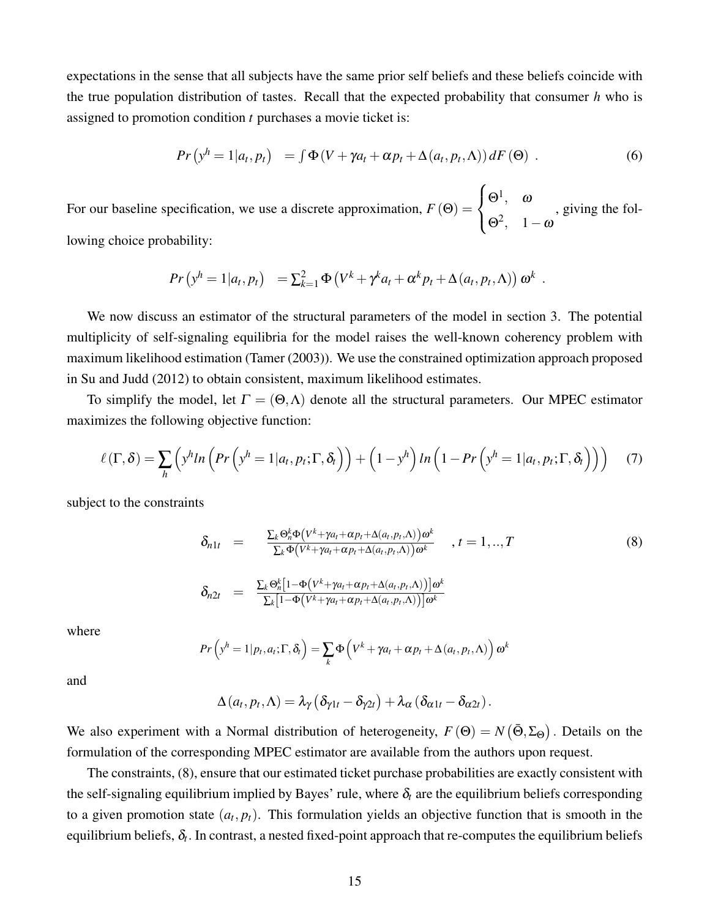expectations in the sense that all subjects have the same prior self beliefs and these beliefs coincide with the true population distribution of tastes. Recall that the expected probability that consumer *h* who is assigned to promotion condition *t* purchases a movie ticket is:

$$
Pr(y^h = 1|a_t, p_t) = \int \Phi(V + \gamma a_t + \alpha p_t + \Delta(a_t, p_t, \Lambda)) dF(\Theta) . \qquad (6)
$$

For our baseline specification, we use a discrete approximation,  $F(\Theta)$  =  $\sqrt{ }$  $\int$  $\mathcal{L}$  $\Theta^1,\quad \omega$  $\Theta^2$ , 1 – ω , giving the fol-

lowing choice probability:

$$
Pr(y^h = 1|a_t, p_t) = \sum_{k=1}^2 \Phi(V^k + \gamma^k a_t + \alpha^k p_t + \Delta(a_t, p_t, \Lambda)) \omega^k.
$$

We now discuss an estimator of the structural parameters of the model in section 3. The potential multiplicity of self-signaling equilibria for the model raises the well-known coherency problem with maximum likelihood estimation (Tamer (2003)). We use the constrained optimization approach proposed in Su and Judd (2012) to obtain consistent, maximum likelihood estimates.

To simplify the model, let  $\Gamma = (\Theta, \Lambda)$  denote all the structural parameters. Our MPEC estimator maximizes the following objective function:

$$
\ell(\Gamma,\delta) = \sum_{h} \left( y^{h} ln \left( Pr \left( y^{h} = 1 | a_{t}, p_{t}; \Gamma, \delta_{t} \right) \right) + \left( 1 - y^{h} \right) ln \left( 1 - Pr \left( y^{h} = 1 | a_{t}, p_{t}; \Gamma, \delta_{t} \right) \right) \right) \tag{7}
$$

subject to the constraints

$$
\delta_{n1t} = \frac{\sum_{k} \Theta_{n}^{k} \Phi(V^{k} + \gamma a_{t} + \alpha p_{t} + \Delta(a_{t}, p_{t}, \Lambda)) \omega^{k}}{\sum_{k} \Phi(V^{k} + \gamma a_{t} + \alpha p_{t} + \Delta(a_{t}, p_{t}, \Lambda)) \omega^{k}}, \quad t = 1, ..., T
$$
\n(8)

$$
\delta_{n2t} = \frac{\sum_{k} \Theta_{n}^{k} \left[1-\Phi(V^{k}+\gamma a_{t}+\alpha p_{t}+\Delta(a_{t},p_{t},\Lambda))\right] \omega^{k}}{\sum_{k} \left[1-\Phi(V^{k}+\gamma a_{t}+\alpha p_{t}+\Delta(a_{t},p_{t},\Lambda))\right] \omega^{k}}
$$

where

$$
Pr\left(y^h = 1 | p_t, a_t; \Gamma, \delta_t\right) = \sum_k \Phi\left(V^k + \gamma a_t + \alpha p_t + \Delta(a_t, p_t, \Lambda)\right) \omega^k
$$

and

$$
\Delta(a_t, p_t, \Lambda) = \lambda_{\gamma} (\delta_{\gamma 1t} - \delta_{\gamma 2t}) + \lambda_{\alpha} (\delta_{\alpha 1t} - \delta_{\alpha 2t}).
$$

We also experiment with a Normal distribution of heterogeneity,  $F(\Theta) = N(\bar{\Theta}, \Sigma_{\Theta})$ . Details on the formulation of the corresponding MPEC estimator are available from the authors upon request.

The constraints, (8), ensure that our estimated ticket purchase probabilities are exactly consistent with the self-signaling equilibrium implied by Bayes' rule, where  $\delta_t$  are the equilibrium beliefs corresponding to a given promotion state  $(a_t, p_t)$ . This formulation yields an objective function that is smooth in the equilibrium beliefs,  $\delta_t$ . In contrast, a nested fixed-point approach that re-computes the equilibrium beliefs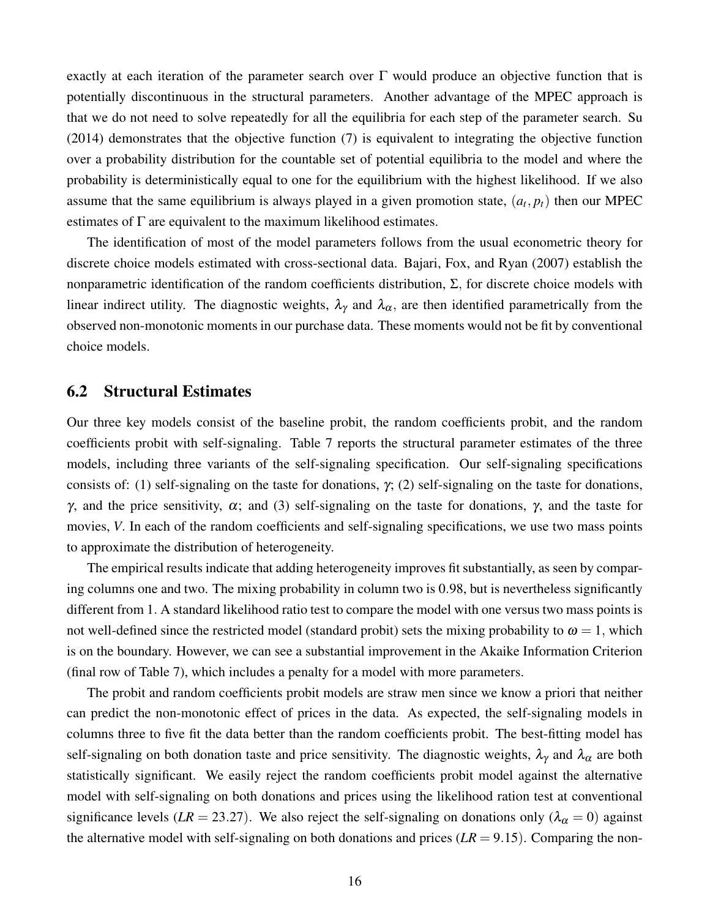exactly at each iteration of the parameter search over  $\Gamma$  would produce an objective function that is potentially discontinuous in the structural parameters. Another advantage of the MPEC approach is that we do not need to solve repeatedly for all the equilibria for each step of the parameter search. Su (2014) demonstrates that the objective function (7) is equivalent to integrating the objective function over a probability distribution for the countable set of potential equilibria to the model and where the probability is deterministically equal to one for the equilibrium with the highest likelihood. If we also assume that the same equilibrium is always played in a given promotion state,  $(a_t, p_t)$  then our MPEC estimates of  $\Gamma$  are equivalent to the maximum likelihood estimates.

The identification of most of the model parameters follows from the usual econometric theory for discrete choice models estimated with cross-sectional data. Bajari, Fox, and Ryan (2007) establish the nonparametric identification of the random coefficients distribution,  $Σ$ , for discrete choice models with linear indirect utility. The diagnostic weights,  $\lambda_{\gamma}$  and  $\lambda_{\alpha}$ , are then identified parametrically from the observed non-monotonic moments in our purchase data. These moments would not be fit by conventional choice models.

#### 6.2 Structural Estimates

Our three key models consist of the baseline probit, the random coefficients probit, and the random coefficients probit with self-signaling. Table 7 reports the structural parameter estimates of the three models, including three variants of the self-signaling specification. Our self-signaling specifications consists of: (1) self-signaling on the taste for donations,  $\gamma$ ; (2) self-signaling on the taste for donations, γ, and the price sensitivity,  $\alpha$ ; and (3) self-signaling on the taste for donations, γ, and the taste for movies, *V*. In each of the random coefficients and self-signaling specifications, we use two mass points to approximate the distribution of heterogeneity.

The empirical results indicate that adding heterogeneity improves fit substantially, as seen by comparing columns one and two. The mixing probability in column two is 0.98, but is nevertheless significantly different from 1. A standard likelihood ratio test to compare the model with one versus two mass points is not well-defined since the restricted model (standard probit) sets the mixing probability to  $\omega = 1$ , which is on the boundary. However, we can see a substantial improvement in the Akaike Information Criterion (final row of Table 7), which includes a penalty for a model with more parameters.

The probit and random coefficients probit models are straw men since we know a priori that neither can predict the non-monotonic effect of prices in the data. As expected, the self-signaling models in columns three to five fit the data better than the random coefficients probit. The best-fitting model has self-signaling on both donation taste and price sensitivity. The diagnostic weights,  $\lambda_{\gamma}$  and  $\lambda_{\alpha}$  are both statistically significant. We easily reject the random coefficients probit model against the alternative model with self-signaling on both donations and prices using the likelihood ration test at conventional significance levels (*LR* = 23.27). We also reject the self-signaling on donations only ( $\lambda_{\alpha} = 0$ ) against the alternative model with self-signaling on both donations and prices  $(LR = 9.15)$ . Comparing the non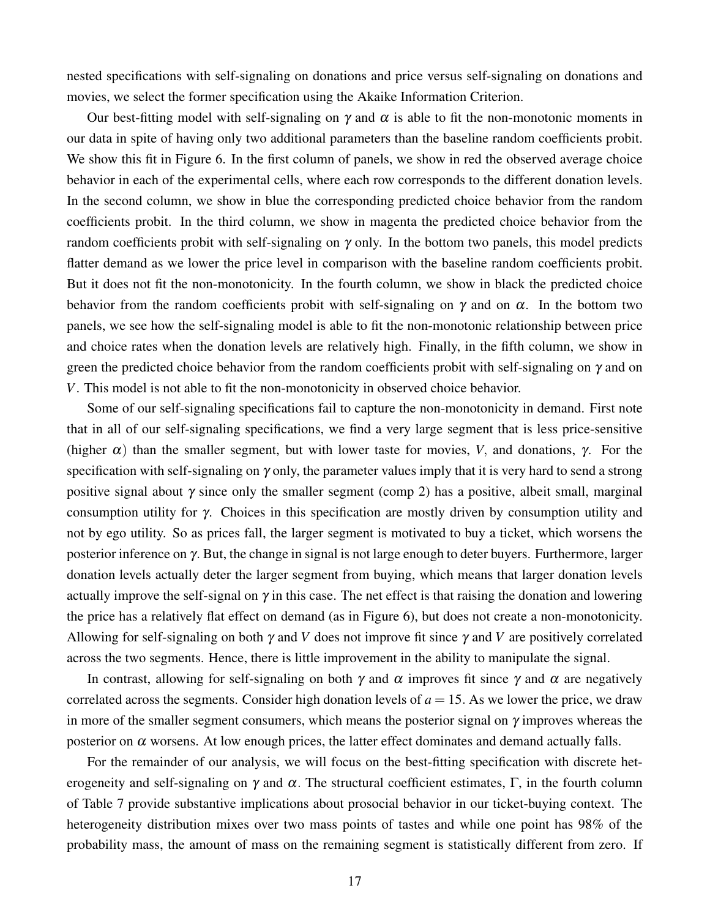nested specifications with self-signaling on donations and price versus self-signaling on donations and movies, we select the former specification using the Akaike Information Criterion.

Our best-fitting model with self-signaling on  $\gamma$  and  $\alpha$  is able to fit the non-monotonic moments in our data in spite of having only two additional parameters than the baseline random coefficients probit. We show this fit in Figure 6. In the first column of panels, we show in red the observed average choice behavior in each of the experimental cells, where each row corresponds to the different donation levels. In the second column, we show in blue the corresponding predicted choice behavior from the random coefficients probit. In the third column, we show in magenta the predicted choice behavior from the random coefficients probit with self-signaling on  $\gamma$  only. In the bottom two panels, this model predicts flatter demand as we lower the price level in comparison with the baseline random coefficients probit. But it does not fit the non-monotonicity. In the fourth column, we show in black the predicted choice behavior from the random coefficients probit with self-signaling on  $\gamma$  and on  $\alpha$ . In the bottom two panels, we see how the self-signaling model is able to fit the non-monotonic relationship between price and choice rates when the donation levels are relatively high. Finally, in the fifth column, we show in green the predicted choice behavior from the random coefficients probit with self-signaling on  $\gamma$  and on *V*. This model is not able to fit the non-monotonicity in observed choice behavior.

Some of our self-signaling specifications fail to capture the non-monotonicity in demand. First note that in all of our self-signaling specifications, we find a very large segment that is less price-sensitive (higher  $\alpha$ ) than the smaller segment, but with lower taste for movies, *V*, and donations, *γ*. For the specification with self-signaling on γ only, the parameter values imply that it is very hard to send a strong positive signal about  $\gamma$  since only the smaller segment (comp 2) has a positive, albeit small, marginal consumption utility for γ. Choices in this specification are mostly driven by consumption utility and not by ego utility. So as prices fall, the larger segment is motivated to buy a ticket, which worsens the posterior inference on γ. But, the change in signal is not large enough to deter buyers. Furthermore, larger donation levels actually deter the larger segment from buying, which means that larger donation levels actually improve the self-signal on  $\gamma$  in this case. The net effect is that raising the donation and lowering the price has a relatively flat effect on demand (as in Figure 6), but does not create a non-monotonicity. Allowing for self-signaling on both γ and *V* does not improve fit since γ and *V* are positively correlated across the two segments. Hence, there is little improvement in the ability to manipulate the signal.

In contrast, allowing for self-signaling on both  $\gamma$  and  $\alpha$  improves fit since  $\gamma$  and  $\alpha$  are negatively correlated across the segments. Consider high donation levels of  $a = 15$ . As we lower the price, we draw in more of the smaller segment consumers, which means the posterior signal on  $\gamma$  improves whereas the posterior on  $\alpha$  worsens. At low enough prices, the latter effect dominates and demand actually falls.

For the remainder of our analysis, we will focus on the best-fitting specification with discrete heterogeneity and self-signaling on  $\gamma$  and  $\alpha$ . The structural coefficient estimates,  $\Gamma$ , in the fourth column of Table 7 provide substantive implications about prosocial behavior in our ticket-buying context. The heterogeneity distribution mixes over two mass points of tastes and while one point has 98% of the probability mass, the amount of mass on the remaining segment is statistically different from zero. If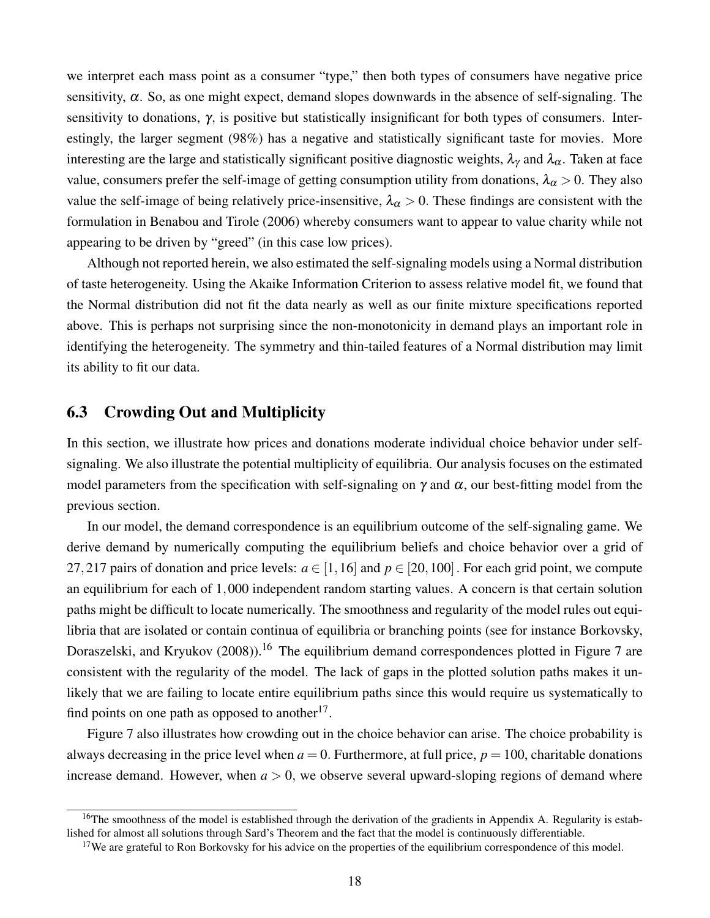we interpret each mass point as a consumer "type," then both types of consumers have negative price sensitivity,  $\alpha$ . So, as one might expect, demand slopes downwards in the absence of self-signaling. The sensitivity to donations,  $\gamma$ , is positive but statistically insignificant for both types of consumers. Interestingly, the larger segment (98%) has a negative and statistically significant taste for movies. More interesting are the large and statistically significant positive diagnostic weights,  $\lambda_{\gamma}$  and  $\lambda_{\alpha}$ . Taken at face value, consumers prefer the self-image of getting consumption utility from donations,  $\lambda_{\alpha} > 0$ . They also value the self-image of being relatively price-insensitive,  $\lambda_{\alpha} > 0$ . These findings are consistent with the formulation in Benabou and Tirole (2006) whereby consumers want to appear to value charity while not appearing to be driven by "greed" (in this case low prices).

Although not reported herein, we also estimated the self-signaling models using a Normal distribution of taste heterogeneity. Using the Akaike Information Criterion to assess relative model fit, we found that the Normal distribution did not fit the data nearly as well as our finite mixture specifications reported above. This is perhaps not surprising since the non-monotonicity in demand plays an important role in identifying the heterogeneity. The symmetry and thin-tailed features of a Normal distribution may limit its ability to fit our data.

### 6.3 Crowding Out and Multiplicity

In this section, we illustrate how prices and donations moderate individual choice behavior under selfsignaling. We also illustrate the potential multiplicity of equilibria. Our analysis focuses on the estimated model parameters from the specification with self-signaling on  $\gamma$  and  $\alpha$ , our best-fitting model from the previous section.

In our model, the demand correspondence is an equilibrium outcome of the self-signaling game. We derive demand by numerically computing the equilibrium beliefs and choice behavior over a grid of 27,217 pairs of donation and price levels:  $a \in [1, 16]$  and  $p \in [20, 100]$ . For each grid point, we compute an equilibrium for each of 1,000 independent random starting values. A concern is that certain solution paths might be difficult to locate numerically. The smoothness and regularity of the model rules out equilibria that are isolated or contain continua of equilibria or branching points (see for instance Borkovsky, Doraszelski, and Kryukov (2008)).<sup>16</sup> The equilibrium demand correspondences plotted in Figure 7 are consistent with the regularity of the model. The lack of gaps in the plotted solution paths makes it unlikely that we are failing to locate entire equilibrium paths since this would require us systematically to find points on one path as opposed to another $^{17}$ .

Figure 7 also illustrates how crowding out in the choice behavior can arise. The choice probability is always decreasing in the price level when  $a = 0$ . Furthermore, at full price,  $p = 100$ , charitable donations increase demand. However, when  $a > 0$ , we observe several upward-sloping regions of demand where

<sup>&</sup>lt;sup>16</sup>The smoothness of the model is established through the derivation of the gradients in Appendix A. Regularity is established for almost all solutions through Sard's Theorem and the fact that the model is continuously differentiable.

<sup>&</sup>lt;sup>17</sup>We are grateful to Ron Borkovsky for his advice on the properties of the equilibrium correspondence of this model.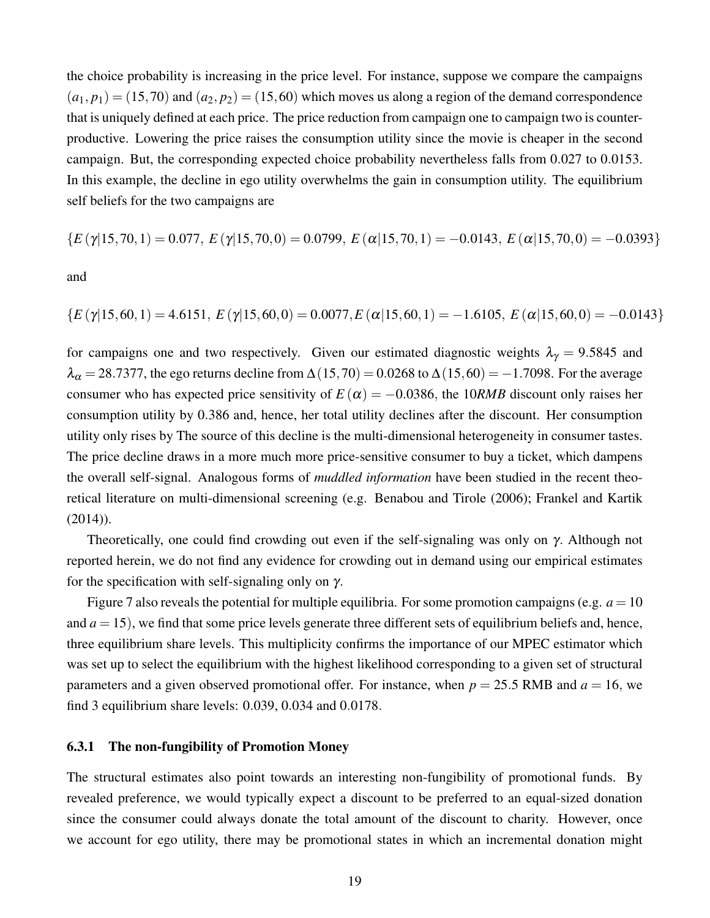the choice probability is increasing in the price level. For instance, suppose we compare the campaigns  $(a_1, p_1) = (15, 70)$  and  $(a_2, p_2) = (15, 60)$  which moves us along a region of the demand correspondence that is uniquely defined at each price. The price reduction from campaign one to campaign two is counterproductive. Lowering the price raises the consumption utility since the movie is cheaper in the second campaign. But, the corresponding expected choice probability nevertheless falls from 0.027 to 0.0153. In this example, the decline in ego utility overwhelms the gain in consumption utility. The equilibrium self beliefs for the two campaigns are

$$
\{E(\gamma|15,70,1)=0.077,\ E(\gamma|15,70,0)=0.0799,\ E(\alpha|15,70,1)=-0.0143,\ E(\alpha|15,70,0)=-0.0393\}
$$

and

 ${E(\gamma|15,60,1) = 4.6151, E(\gamma|15,60,0) = 0.0077, E(\alpha|15,60,1) = -1.6105, E(\alpha|15,60,0) = -0.0143}$ 

for campaigns one and two respectively. Given our estimated diagnostic weights  $\lambda_{\gamma} = 9.5845$  and  $\lambda_{\alpha} = 28.7377$ , the ego returns decline from  $\Delta(15,70) = 0.0268$  to  $\Delta(15,60) = -1.7098$ . For the average consumer who has expected price sensitivity of  $E(\alpha) = -0.0386$ , the 10*RMB* discount only raises her consumption utility by 0.386 and, hence, her total utility declines after the discount. Her consumption utility only rises by The source of this decline is the multi-dimensional heterogeneity in consumer tastes. The price decline draws in a more much more price-sensitive consumer to buy a ticket, which dampens the overall self-signal. Analogous forms of *muddled information* have been studied in the recent theoretical literature on multi-dimensional screening (e.g. Benabou and Tirole (2006); Frankel and Kartik (2014)).

Theoretically, one could find crowding out even if the self-signaling was only on γ. Although not reported herein, we do not find any evidence for crowding out in demand using our empirical estimates for the specification with self-signaling only on γ.

Figure 7 also reveals the potential for multiple equilibria. For some promotion campaigns (e.g.  $a = 10$ ) and  $a = 15$ ), we find that some price levels generate three different sets of equilibrium beliefs and, hence, three equilibrium share levels. This multiplicity confirms the importance of our MPEC estimator which was set up to select the equilibrium with the highest likelihood corresponding to a given set of structural parameters and a given observed promotional offer. For instance, when  $p = 25.5$  RMB and  $a = 16$ , we find 3 equilibrium share levels: 0.039, 0.034 and 0.0178.

#### 6.3.1 The non-fungibility of Promotion Money

The structural estimates also point towards an interesting non-fungibility of promotional funds. By revealed preference, we would typically expect a discount to be preferred to an equal-sized donation since the consumer could always donate the total amount of the discount to charity. However, once we account for ego utility, there may be promotional states in which an incremental donation might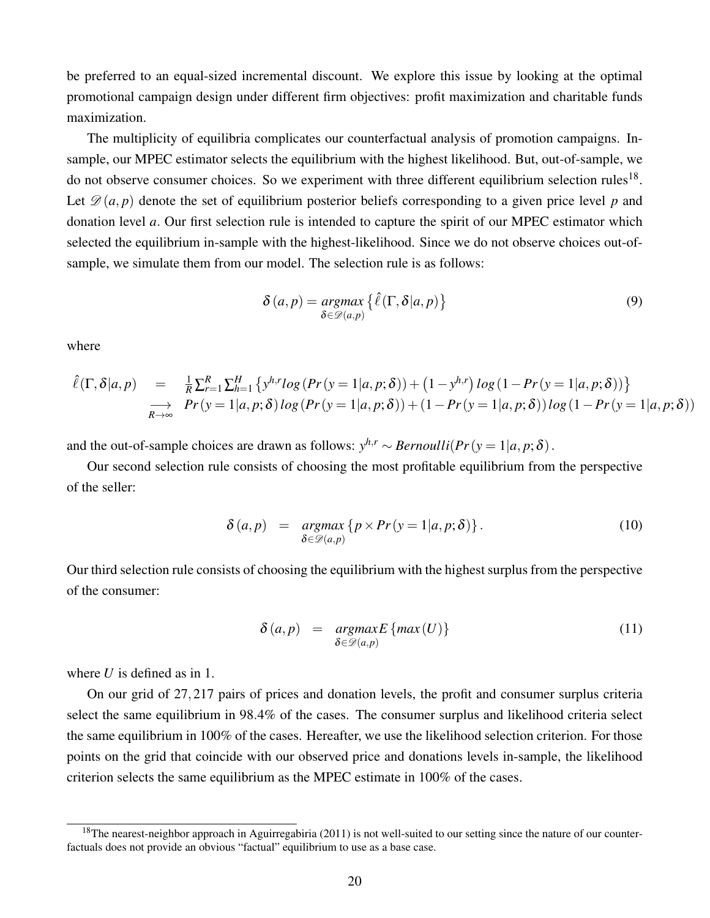be preferred to an equal-sized incremental discount. We explore this issue by looking at the optimal promotional campaign design under different firm objectives: profit maximization and charitable funds maximization.

The multiplicity of equilibria complicates our counterfactual analysis of promotion campaigns. Insample, our MPEC estimator selects the equilibrium with the highest likelihood. But, out-of-sample, we do not observe consumer choices. So we experiment with three different equilibrium selection rules<sup>18</sup>. Let  $\mathscr{D}(a, p)$  denote the set of equilibrium posterior beliefs corresponding to a given price level p and donation level *a*. Our first selection rule is intended to capture the spirit of our MPEC estimator which selected the equilibrium in-sample with the highest-likelihood. Since we do not observe choices out-ofsample, we simulate them from our model. The selection rule is as follows:

$$
\delta(a,p) = \underset{\delta \in \mathcal{D}(a,p)}{\operatorname{argmax}} \left\{ \hat{\ell}(\Gamma, \delta | a, p) \right\} \tag{9}
$$

where

$$
\hat{\ell}(\Gamma,\delta|a,p) = \frac{1}{R} \sum_{r=1}^{R} \sum_{h=1}^{H} \left\{ y^{h,r} \log \left( Pr\left( y=1|a,p;\delta \right) \right) + \left( 1 - y^{h,r} \right) \log \left( 1 - Pr\left( y=1|a,p;\delta \right) \right) \right\}
$$
\n
$$
\xrightarrow[R \to \infty]{} \Pr(y=1|a,p;\delta) \log \left( Pr\left( y=1|a,p;\delta \right) \right) + \left( 1 - Pr\left( y=1|a,p;\delta \right) \right) \log \left( 1 - Pr\left( y=1|a,p;\delta \right) \right)
$$

and the out-of-sample choices are drawn as follows:  $y^{h,r} \sim Bernoulli(Pr(y=1|a, p; \delta)$ .

Our second selection rule consists of choosing the most profitable equilibrium from the perspective of the seller:

$$
\delta(a,p) = \underset{\delta \in \mathcal{D}(a,p)}{\operatorname{argmax}} \{ p \times Pr(y=1|a,p;\delta) \}.
$$
 (10)

Our third selection rule consists of choosing the equilibrium with the highest surplus from the perspective of the consumer:

$$
\delta(a, p) = \underset{\delta \in \mathcal{D}(a, p)}{\operatorname{argmax}} E\left\{ \max(U) \right\} \tag{11}
$$

where *U* is defined as in 1.

On our grid of 27,217 pairs of prices and donation levels, the profit and consumer surplus criteria select the same equilibrium in 98.4% of the cases. The consumer surplus and likelihood criteria select the same equilibrium in 100% of the cases. Hereafter, we use the likelihood selection criterion. For those points on the grid that coincide with our observed price and donations levels in-sample, the likelihood criterion selects the same equilibrium as the MPEC estimate in 100% of the cases.

<sup>&</sup>lt;sup>18</sup>The nearest-neighbor approach in Aguirregabiria (2011) is not well-suited to our setting since the nature of our counterfactuals does not provide an obvious "factual" equilibrium to use as a base case.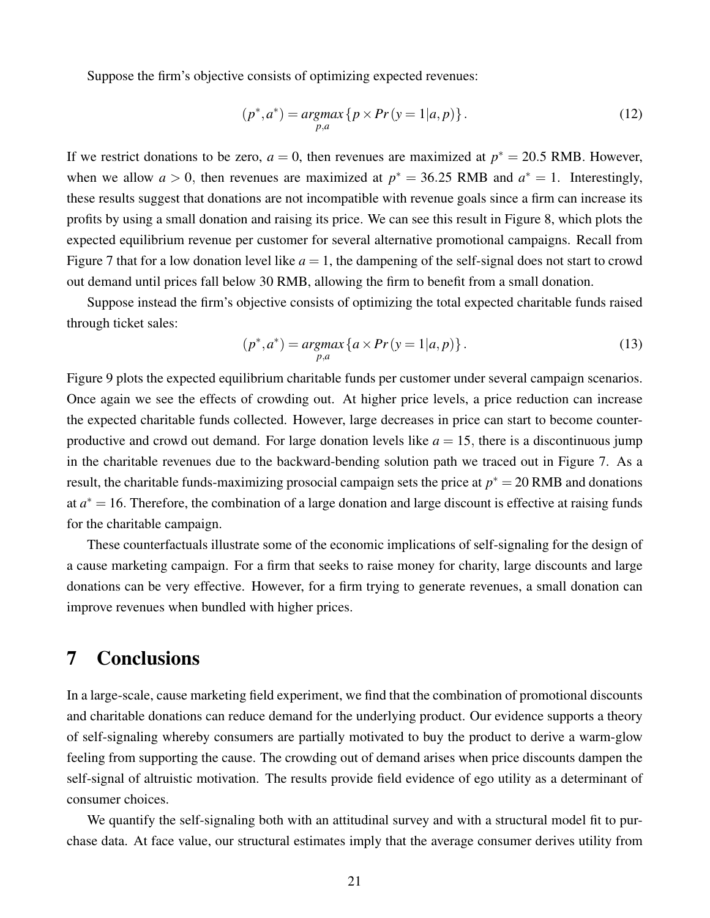Suppose the firm's objective consists of optimizing expected revenues:

$$
(p^*, a^*) = \underset{p, a}{\text{argmax}} \{ p \times \Pr(y = 1 | a, p) \}.
$$
 (12)

If we restrict donations to be zero,  $a = 0$ , then revenues are maximized at  $p^* = 20.5$  RMB. However, when we allow  $a > 0$ , then revenues are maximized at  $p^* = 36.25$  RMB and  $a^* = 1$ . Interestingly, these results suggest that donations are not incompatible with revenue goals since a firm can increase its profits by using a small donation and raising its price. We can see this result in Figure 8, which plots the expected equilibrium revenue per customer for several alternative promotional campaigns. Recall from Figure 7 that for a low donation level like  $a = 1$ , the dampening of the self-signal does not start to crowd out demand until prices fall below 30 RMB, allowing the firm to benefit from a small donation.

Suppose instead the firm's objective consists of optimizing the total expected charitable funds raised through ticket sales:

$$
(p^*, a^*) = \underset{p, a}{\operatorname{argmax}} \{ a \times \Pr(y = 1 | a, p) \}.
$$
 (13)

Figure 9 plots the expected equilibrium charitable funds per customer under several campaign scenarios. Once again we see the effects of crowding out. At higher price levels, a price reduction can increase the expected charitable funds collected. However, large decreases in price can start to become counterproductive and crowd out demand. For large donation levels like  $a = 15$ , there is a discontinuous jump in the charitable revenues due to the backward-bending solution path we traced out in Figure 7. As a result, the charitable funds-maximizing prosocial campaign sets the price at  $p^* = 20$  RMB and donations at  $a^* = 16$ . Therefore, the combination of a large donation and large discount is effective at raising funds for the charitable campaign.

These counterfactuals illustrate some of the economic implications of self-signaling for the design of a cause marketing campaign. For a firm that seeks to raise money for charity, large discounts and large donations can be very effective. However, for a firm trying to generate revenues, a small donation can improve revenues when bundled with higher prices.

# 7 Conclusions

In a large-scale, cause marketing field experiment, we find that the combination of promotional discounts and charitable donations can reduce demand for the underlying product. Our evidence supports a theory of self-signaling whereby consumers are partially motivated to buy the product to derive a warm-glow feeling from supporting the cause. The crowding out of demand arises when price discounts dampen the self-signal of altruistic motivation. The results provide field evidence of ego utility as a determinant of consumer choices.

We quantify the self-signaling both with an attitudinal survey and with a structural model fit to purchase data. At face value, our structural estimates imply that the average consumer derives utility from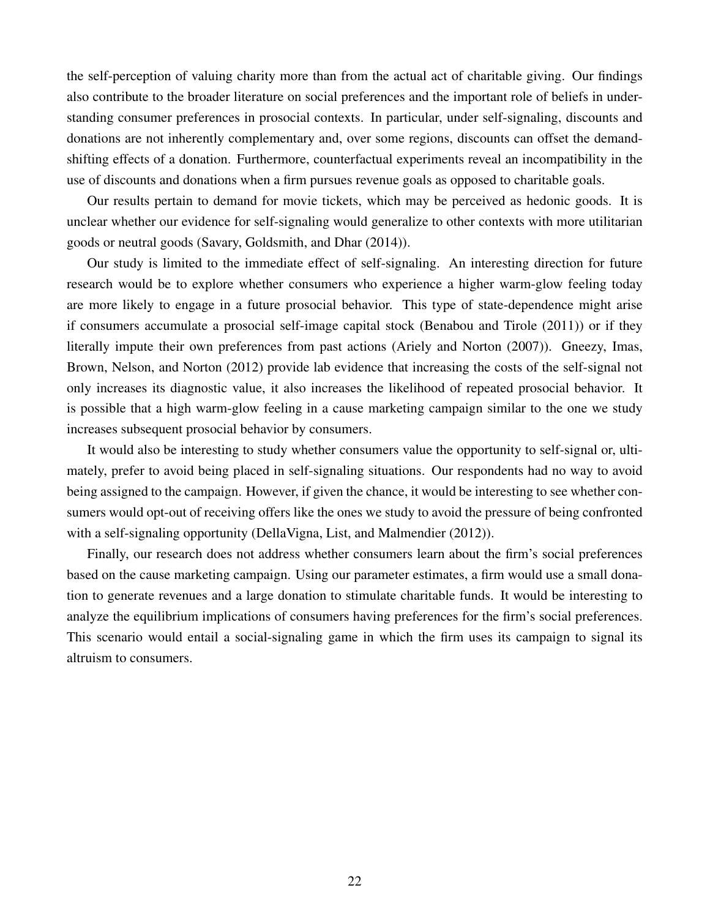the self-perception of valuing charity more than from the actual act of charitable giving. Our findings also contribute to the broader literature on social preferences and the important role of beliefs in understanding consumer preferences in prosocial contexts. In particular, under self-signaling, discounts and donations are not inherently complementary and, over some regions, discounts can offset the demandshifting effects of a donation. Furthermore, counterfactual experiments reveal an incompatibility in the use of discounts and donations when a firm pursues revenue goals as opposed to charitable goals.

Our results pertain to demand for movie tickets, which may be perceived as hedonic goods. It is unclear whether our evidence for self-signaling would generalize to other contexts with more utilitarian goods or neutral goods (Savary, Goldsmith, and Dhar (2014)).

Our study is limited to the immediate effect of self-signaling. An interesting direction for future research would be to explore whether consumers who experience a higher warm-glow feeling today are more likely to engage in a future prosocial behavior. This type of state-dependence might arise if consumers accumulate a prosocial self-image capital stock (Benabou and Tirole (2011)) or if they literally impute their own preferences from past actions (Ariely and Norton (2007)). Gneezy, Imas, Brown, Nelson, and Norton (2012) provide lab evidence that increasing the costs of the self-signal not only increases its diagnostic value, it also increases the likelihood of repeated prosocial behavior. It is possible that a high warm-glow feeling in a cause marketing campaign similar to the one we study increases subsequent prosocial behavior by consumers.

It would also be interesting to study whether consumers value the opportunity to self-signal or, ultimately, prefer to avoid being placed in self-signaling situations. Our respondents had no way to avoid being assigned to the campaign. However, if given the chance, it would be interesting to see whether consumers would opt-out of receiving offers like the ones we study to avoid the pressure of being confronted with a self-signaling opportunity (DellaVigna, List, and Malmendier (2012)).

Finally, our research does not address whether consumers learn about the firm's social preferences based on the cause marketing campaign. Using our parameter estimates, a firm would use a small donation to generate revenues and a large donation to stimulate charitable funds. It would be interesting to analyze the equilibrium implications of consumers having preferences for the firm's social preferences. This scenario would entail a social-signaling game in which the firm uses its campaign to signal its altruism to consumers.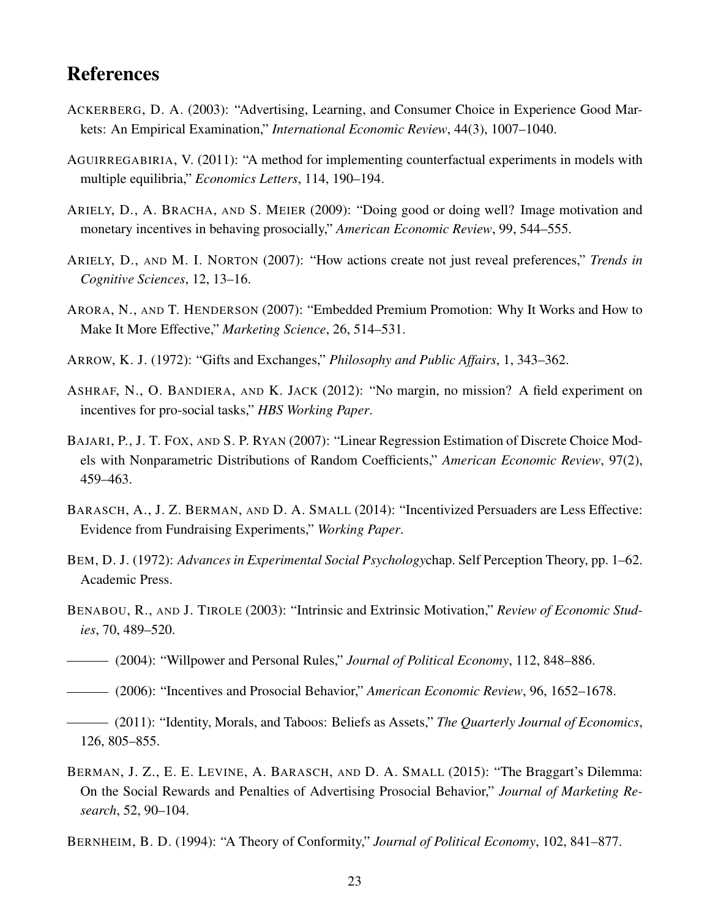# References

- ACKERBERG, D. A. (2003): "Advertising, Learning, and Consumer Choice in Experience Good Markets: An Empirical Examination," *International Economic Review*, 44(3), 1007–1040.
- AGUIRREGABIRIA, V. (2011): "A method for implementing counterfactual experiments in models with multiple equilibria," *Economics Letters*, 114, 190–194.
- ARIELY, D., A. BRACHA, AND S. MEIER (2009): "Doing good or doing well? Image motivation and monetary incentives in behaving prosocially," *American Economic Review*, 99, 544–555.
- ARIELY, D., AND M. I. NORTON (2007): "How actions create not just reveal preferences," *Trends in Cognitive Sciences*, 12, 13–16.
- ARORA, N., AND T. HENDERSON (2007): "Embedded Premium Promotion: Why It Works and How to Make It More Effective," *Marketing Science*, 26, 514–531.
- ARROW, K. J. (1972): "Gifts and Exchanges," *Philosophy and Public Affairs*, 1, 343–362.
- ASHRAF, N., O. BANDIERA, AND K. JACK (2012): "No margin, no mission? A field experiment on incentives for pro-social tasks," *HBS Working Paper*.
- BAJARI, P., J. T. FOX, AND S. P. RYAN (2007): "Linear Regression Estimation of Discrete Choice Models with Nonparametric Distributions of Random Coefficients," *American Economic Review*, 97(2), 459–463.
- BARASCH, A., J. Z. BERMAN, AND D. A. SMALL (2014): "Incentivized Persuaders are Less Effective: Evidence from Fundraising Experiments," *Working Paper*.
- BEM, D. J. (1972): *Advances in Experimental Social Psychology*chap. Self Perception Theory, pp. 1–62. Academic Press.
- BENABOU, R., AND J. TIROLE (2003): "Intrinsic and Extrinsic Motivation," *Review of Economic Studies*, 70, 489–520.
- (2004): "Willpower and Personal Rules," *Journal of Political Economy*, 112, 848–886.
- (2006): "Incentives and Prosocial Behavior," *American Economic Review*, 96, 1652–1678.
- (2011): "Identity, Morals, and Taboos: Beliefs as Assets," *The Quarterly Journal of Economics*, 126, 805–855.
- BERMAN, J. Z., E. E. LEVINE, A. BARASCH, AND D. A. SMALL (2015): "The Braggart's Dilemma: On the Social Rewards and Penalties of Advertising Prosocial Behavior," *Journal of Marketing Research*, 52, 90–104.
- BERNHEIM, B. D. (1994): "A Theory of Conformity," *Journal of Political Economy*, 102, 841–877.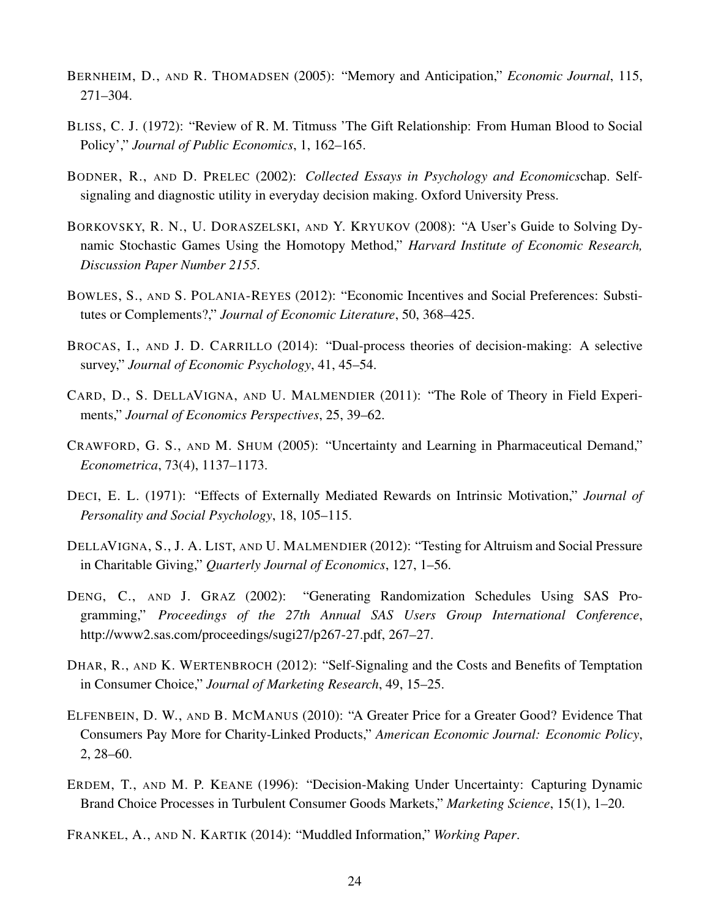- BERNHEIM, D., AND R. THOMADSEN (2005): "Memory and Anticipation," *Economic Journal*, 115, 271–304.
- BLISS, C. J. (1972): "Review of R. M. Titmuss 'The Gift Relationship: From Human Blood to Social Policy'," *Journal of Public Economics*, 1, 162–165.
- BODNER, R., AND D. PRELEC (2002): *Collected Essays in Psychology and Economics*chap. Selfsignaling and diagnostic utility in everyday decision making. Oxford University Press.
- BORKOVSKY, R. N., U. DORASZELSKI, AND Y. KRYUKOV (2008): "A User's Guide to Solving Dynamic Stochastic Games Using the Homotopy Method," *Harvard Institute of Economic Research, Discussion Paper Number 2155*.
- BOWLES, S., AND S. POLANIA-REYES (2012): "Economic Incentives and Social Preferences: Substitutes or Complements?," *Journal of Economic Literature*, 50, 368–425.
- BROCAS, I., AND J. D. CARRILLO (2014): "Dual-process theories of decision-making: A selective survey," *Journal of Economic Psychology*, 41, 45–54.
- CARD, D., S. DELLAVIGNA, AND U. MALMENDIER (2011): "The Role of Theory in Field Experiments," *Journal of Economics Perspectives*, 25, 39–62.
- CRAWFORD, G. S., AND M. SHUM (2005): "Uncertainty and Learning in Pharmaceutical Demand," *Econometrica*, 73(4), 1137–1173.
- DECI, E. L. (1971): "Effects of Externally Mediated Rewards on Intrinsic Motivation," *Journal of Personality and Social Psychology*, 18, 105–115.
- DELLAVIGNA, S., J. A. LIST, AND U. MALMENDIER (2012): "Testing for Altruism and Social Pressure in Charitable Giving," *Quarterly Journal of Economics*, 127, 1–56.
- DENG, C., AND J. GRAZ (2002): "Generating Randomization Schedules Using SAS Programming," *Proceedings of the 27th Annual SAS Users Group International Conference*, http://www2.sas.com/proceedings/sugi27/p267-27.pdf, 267–27.
- DHAR, R., AND K. WERTENBROCH (2012): "Self-Signaling and the Costs and Benefits of Temptation in Consumer Choice," *Journal of Marketing Research*, 49, 15–25.
- ELFENBEIN, D. W., AND B. MCMANUS (2010): "A Greater Price for a Greater Good? Evidence That Consumers Pay More for Charity-Linked Products," *American Economic Journal: Economic Policy*, 2, 28–60.
- ERDEM, T., AND M. P. KEANE (1996): "Decision-Making Under Uncertainty: Capturing Dynamic Brand Choice Processes in Turbulent Consumer Goods Markets," *Marketing Science*, 15(1), 1–20.

FRANKEL, A., AND N. KARTIK (2014): "Muddled Information," *Working Paper*.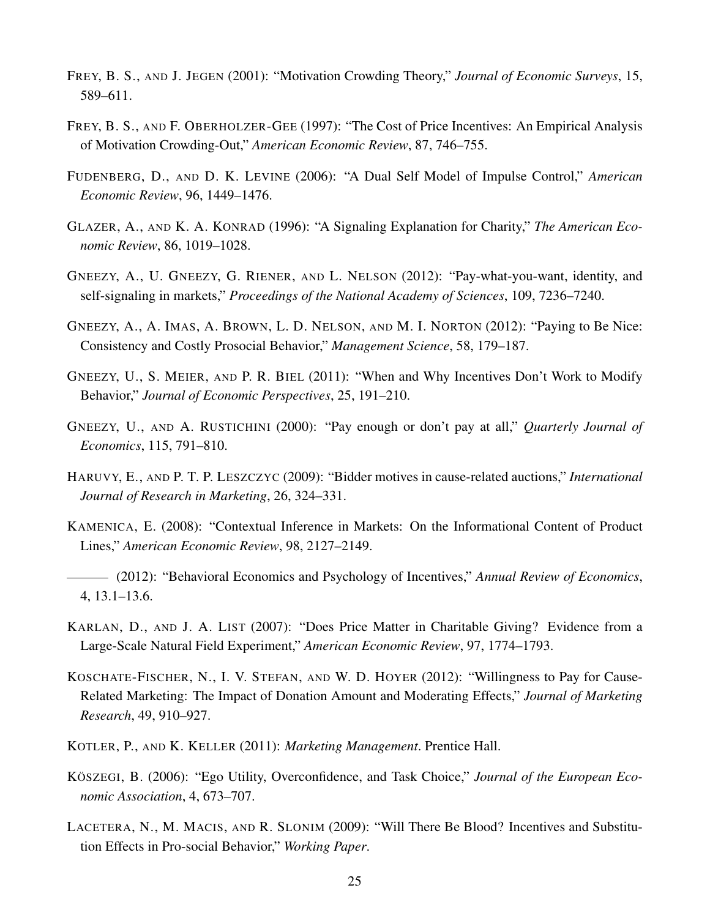- FREY, B. S., AND J. JEGEN (2001): "Motivation Crowding Theory," *Journal of Economic Surveys*, 15, 589–611.
- FREY, B. S., AND F. OBERHOLZER-GEE (1997): "The Cost of Price Incentives: An Empirical Analysis of Motivation Crowding-Out," *American Economic Review*, 87, 746–755.
- FUDENBERG, D., AND D. K. LEVINE (2006): "A Dual Self Model of Impulse Control," *American Economic Review*, 96, 1449–1476.
- GLAZER, A., AND K. A. KONRAD (1996): "A Signaling Explanation for Charity," *The American Economic Review*, 86, 1019–1028.
- GNEEZY, A., U. GNEEZY, G. RIENER, AND L. NELSON (2012): "Pay-what-you-want, identity, and self-signaling in markets," *Proceedings of the National Academy of Sciences*, 109, 7236–7240.
- GNEEZY, A., A. IMAS, A. BROWN, L. D. NELSON, AND M. I. NORTON (2012): "Paying to Be Nice: Consistency and Costly Prosocial Behavior," *Management Science*, 58, 179–187.
- GNEEZY, U., S. MEIER, AND P. R. BIEL (2011): "When and Why Incentives Don't Work to Modify Behavior," *Journal of Economic Perspectives*, 25, 191–210.
- GNEEZY, U., AND A. RUSTICHINI (2000): "Pay enough or don't pay at all," *Quarterly Journal of Economics*, 115, 791–810.
- HARUVY, E., AND P. T. P. LESZCZYC (2009): "Bidder motives in cause-related auctions," *International Journal of Research in Marketing*, 26, 324–331.
- KAMENICA, E. (2008): "Contextual Inference in Markets: On the Informational Content of Product Lines," *American Economic Review*, 98, 2127–2149.
- (2012): "Behavioral Economics and Psychology of Incentives," *Annual Review of Economics*, 4, 13.1–13.6.
- KARLAN, D., AND J. A. LIST (2007): "Does Price Matter in Charitable Giving? Evidence from a Large-Scale Natural Field Experiment," *American Economic Review*, 97, 1774–1793.
- KOSCHATE-FISCHER, N., I. V. STEFAN, AND W. D. HOYER (2012): "Willingness to Pay for Cause-Related Marketing: The Impact of Donation Amount and Moderating Effects," *Journal of Marketing Research*, 49, 910–927.
- KOTLER, P., AND K. KELLER (2011): *Marketing Management*. Prentice Hall.
- KÖSZEGI, B. (2006): "Ego Utility, Overconfidence, and Task Choice," *Journal of the European Economic Association*, 4, 673–707.
- LACETERA, N., M. MACIS, AND R. SLONIM (2009): "Will There Be Blood? Incentives and Substitution Effects in Pro-social Behavior," *Working Paper*.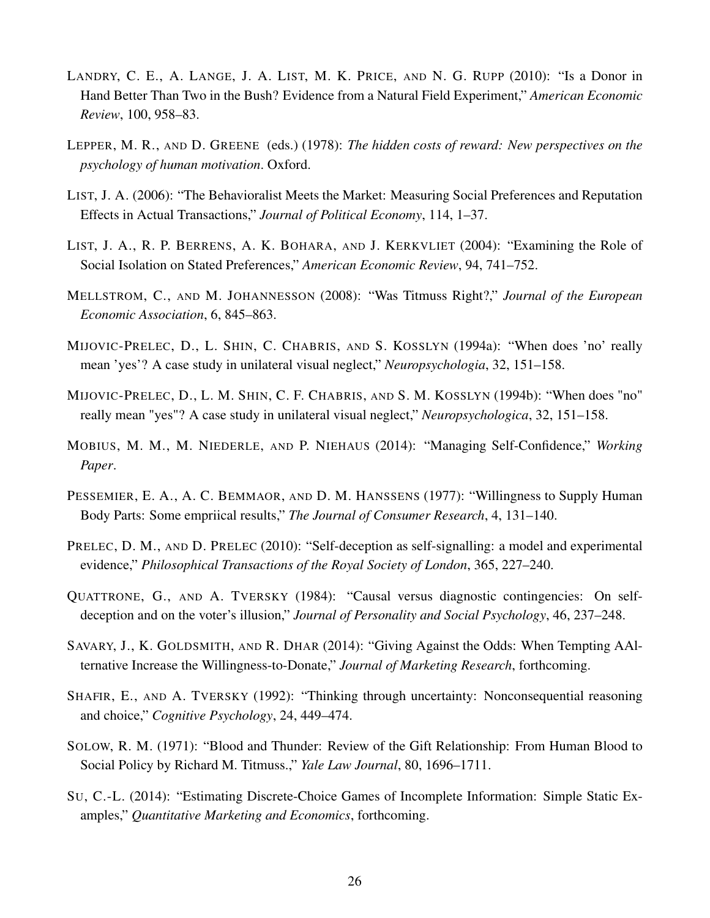- LANDRY, C. E., A. LANGE, J. A. LIST, M. K. PRICE, AND N. G. RUPP (2010): "Is a Donor in Hand Better Than Two in the Bush? Evidence from a Natural Field Experiment," *American Economic Review*, 100, 958–83.
- LEPPER, M. R., AND D. GREENE (eds.) (1978): *The hidden costs of reward: New perspectives on the psychology of human motivation*. Oxford.
- LIST, J. A. (2006): "The Behavioralist Meets the Market: Measuring Social Preferences and Reputation Effects in Actual Transactions," *Journal of Political Economy*, 114, 1–37.
- LIST, J. A., R. P. BERRENS, A. K. BOHARA, AND J. KERKVLIET (2004): "Examining the Role of Social Isolation on Stated Preferences," *American Economic Review*, 94, 741–752.
- MELLSTROM, C., AND M. JOHANNESSON (2008): "Was Titmuss Right?," *Journal of the European Economic Association*, 6, 845–863.
- MIJOVIC-PRELEC, D., L. SHIN, C. CHABRIS, AND S. KOSSLYN (1994a): "When does 'no' really mean 'yes'? A case study in unilateral visual neglect," *Neuropsychologia*, 32, 151–158.
- MIJOVIC-PRELEC, D., L. M. SHIN, C. F. CHABRIS, AND S. M. KOSSLYN (1994b): "When does "no" really mean "yes"? A case study in unilateral visual neglect," *Neuropsychologica*, 32, 151–158.
- MOBIUS, M. M., M. NIEDERLE, AND P. NIEHAUS (2014): "Managing Self-Confidence," *Working Paper*.
- PESSEMIER, E. A., A. C. BEMMAOR, AND D. M. HANSSENS (1977): "Willingness to Supply Human Body Parts: Some empriical results," *The Journal of Consumer Research*, 4, 131–140.
- PRELEC, D. M., AND D. PRELEC (2010): "Self-deception as self-signalling: a model and experimental evidence," *Philosophical Transactions of the Royal Society of London*, 365, 227–240.
- QUATTRONE, G., AND A. TVERSKY (1984): "Causal versus diagnostic contingencies: On selfdeception and on the voter's illusion," *Journal of Personality and Social Psychology*, 46, 237–248.
- SAVARY, J., K. GOLDSMITH, AND R. DHAR (2014): "Giving Against the Odds: When Tempting AAlternative Increase the Willingness-to-Donate," *Journal of Marketing Research*, forthcoming.
- SHAFIR, E., AND A. TVERSKY (1992): "Thinking through uncertainty: Nonconsequential reasoning and choice," *Cognitive Psychology*, 24, 449–474.
- SOLOW, R. M. (1971): "Blood and Thunder: Review of the Gift Relationship: From Human Blood to Social Policy by Richard M. Titmuss.," *Yale Law Journal*, 80, 1696–1711.
- SU, C.-L. (2014): "Estimating Discrete-Choice Games of Incomplete Information: Simple Static Examples," *Quantitative Marketing and Economics*, forthcoming.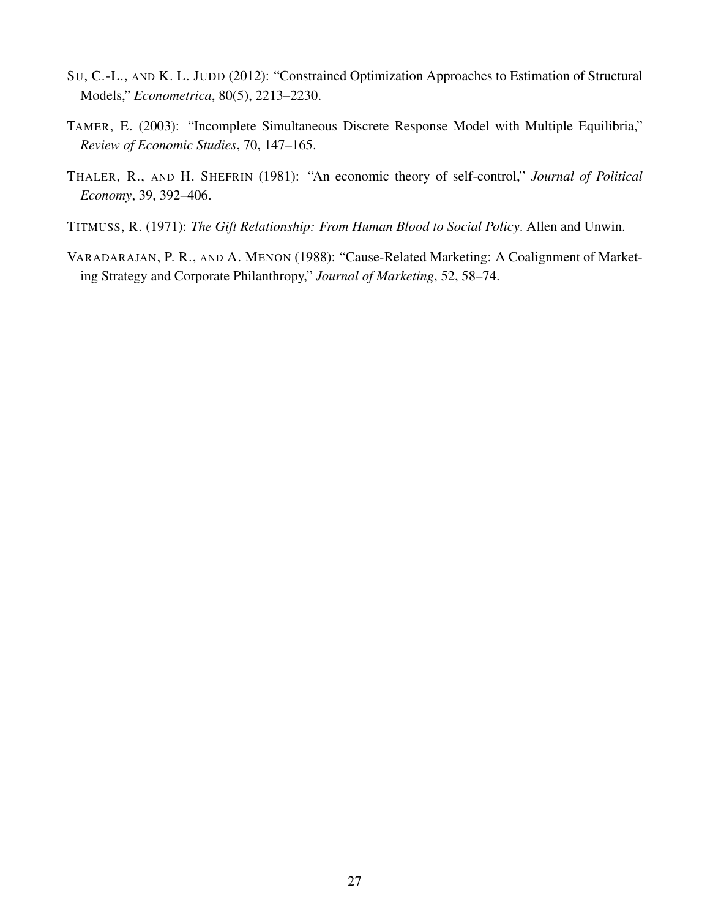- SU, C.-L., AND K. L. JUDD (2012): "Constrained Optimization Approaches to Estimation of Structural Models," *Econometrica*, 80(5), 2213–2230.
- TAMER, E. (2003): "Incomplete Simultaneous Discrete Response Model with Multiple Equilibria," *Review of Economic Studies*, 70, 147–165.
- THALER, R., AND H. SHEFRIN (1981): "An economic theory of self-control," *Journal of Political Economy*, 39, 392–406.
- TITMUSS, R. (1971): *The Gift Relationship: From Human Blood to Social Policy*. Allen and Unwin.
- VARADARAJAN, P. R., AND A. MENON (1988): "Cause-Related Marketing: A Coalignment of Marketing Strategy and Corporate Philanthropy," *Journal of Marketing*, 52, 58–74.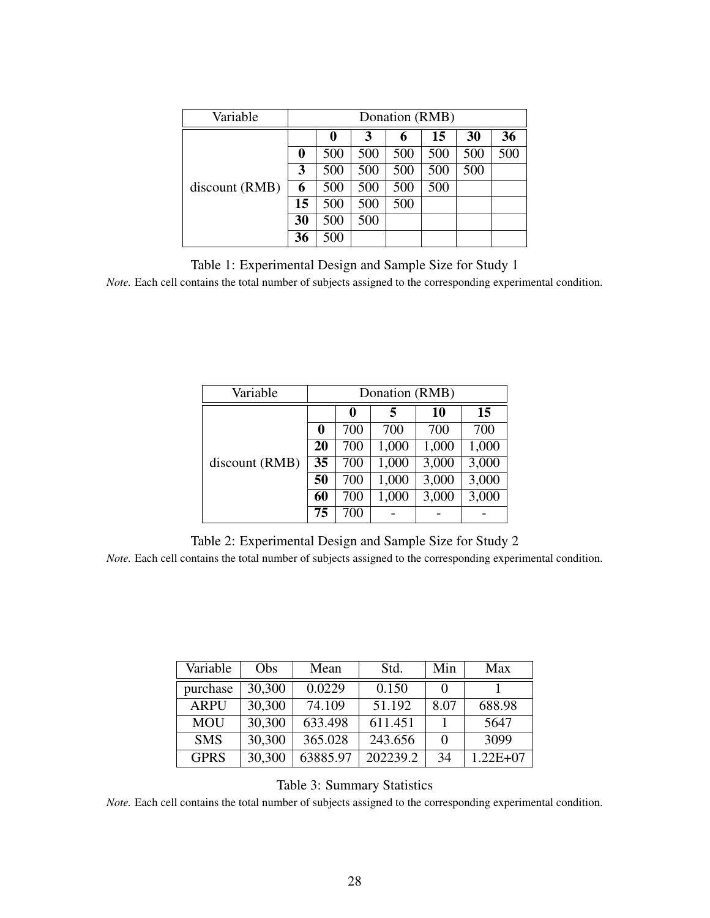| Variable       |                  | Donation (RMB) |     |     |     |     |     |  |  |
|----------------|------------------|----------------|-----|-----|-----|-----|-----|--|--|
| discount (RMB) |                  | 0              | 3   | 6   | 15  | 30  | 36  |  |  |
|                | $\boldsymbol{0}$ | 500            | 500 | 500 | 500 | 500 | 500 |  |  |
|                | 3                | 500            | 500 | 500 | 500 | 500 |     |  |  |
|                | 6                | 500            | 500 | 500 | 500 |     |     |  |  |
|                | 15               | 500            | 500 | 500 |     |     |     |  |  |
|                | 30               | 500            | 500 |     |     |     |     |  |  |
|                | 36               | 500            |     |     |     |     |     |  |  |

Table 1: Experimental Design and Sample Size for Study 1

*Note.* Each cell contains the total number of subjects assigned to the corresponding experimental condition.

| Variable       |    | Donation (RMB) |       |       |       |  |  |  |  |
|----------------|----|----------------|-------|-------|-------|--|--|--|--|
|                |    | $\bf{0}$       | 5     | 10    | 15    |  |  |  |  |
|                | 0  | 700            | 700   | 700   | 700   |  |  |  |  |
| discount (RMB) | 20 | 700            | 1,000 | 1,000 | 1,000 |  |  |  |  |
|                | 35 | 700            | 1,000 | 3,000 | 3,000 |  |  |  |  |
|                | 50 | 700            | 1,000 | 3,000 | 3,000 |  |  |  |  |
|                | 60 | 700            | 1,000 | 3,000 | 3,000 |  |  |  |  |
|                | 75 | 700            |       |       |       |  |  |  |  |

Table 2: Experimental Design and Sample Size for Study 2

*Note.* Each cell contains the total number of subjects assigned to the corresponding experimental condition.

| Variable    | Obs    | Mean     | Std.     | Min      | Max          |
|-------------|--------|----------|----------|----------|--------------|
| purchase    | 30,300 | 0.0229   | 0.150    | $\theta$ |              |
| <b>ARPU</b> | 30,300 | 74.109   | 51.192   | 8.07     | 688.98       |
| <b>MOU</b>  | 30,300 | 633.498  | 611.451  |          | 5647         |
| <b>SMS</b>  | 30,300 | 365.028  | 243.656  | 0        | 3099         |
| <b>GPRS</b> | 30,300 | 63885.97 | 202239.2 | 34       | $1.22E + 07$ |

Table 3: Summary Statistics

*Note.* Each cell contains the total number of subjects assigned to the corresponding experimental condition.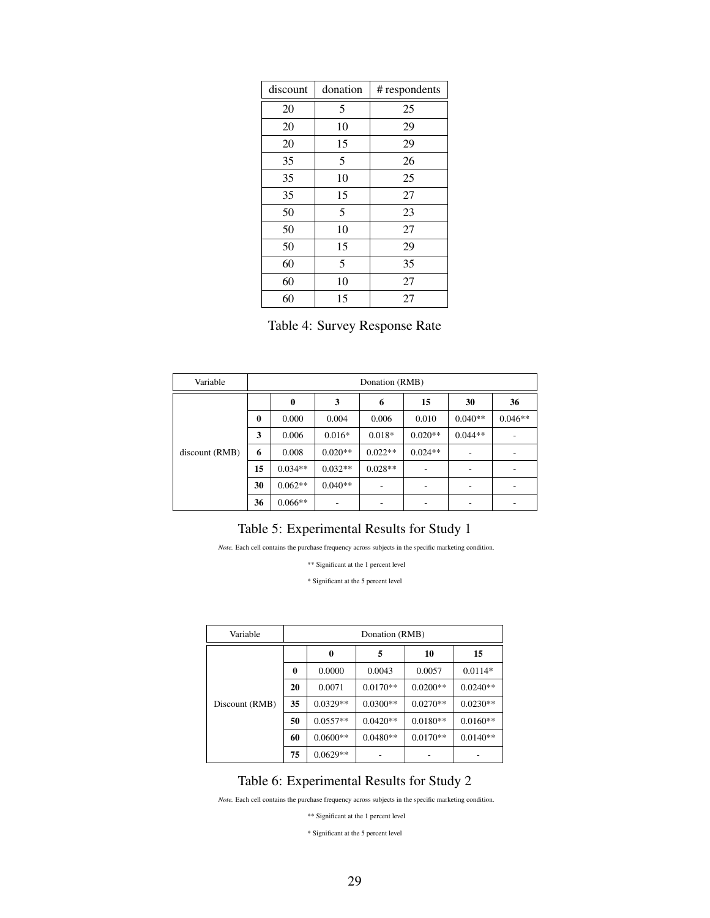| discount | donation | # respondents |
|----------|----------|---------------|
| 20       | 5        | 25            |
| 20       | 10       | 29            |
| 20       | 15       | 29            |
| 35       | 5        | 26            |
| 35       | 10       | 25            |
| 35       | 15       | 27            |
| 50       | 5        | 23            |
| 50       | 10       | 27            |
| 50       | 15       | 29            |
| 60       | 5        | 35            |
| 60       | 10       | 27            |
| 60       | 15       | 27            |

Table 4: Survey Response Rate

| Variable       |          | Donation (RMB) |           |           |           |           |           |  |  |  |  |
|----------------|----------|----------------|-----------|-----------|-----------|-----------|-----------|--|--|--|--|
|                |          | $\bf{0}$       | 3         | 6         | 15        | 30        | 36        |  |  |  |  |
|                | $\bf{0}$ | 0.000          | 0.004     | 0.006     | 0.010     | $0.040**$ | $0.046**$ |  |  |  |  |
|                | 3        | 0.006          | $0.016*$  | $0.018*$  | $0.020**$ | $0.044**$ |           |  |  |  |  |
| discount (RMB) | 6        | 0.008          | $0.020**$ | $0.022**$ | $0.024**$ |           |           |  |  |  |  |
|                | 15       | $0.034**$      | $0.032**$ | $0.028**$ | -         |           |           |  |  |  |  |
|                | 30       | $0.062**$      | $0.040**$ |           |           |           |           |  |  |  |  |
|                | 36       | $0.066**$      |           |           |           |           |           |  |  |  |  |

#### Table 5: Experimental Results for Study 1

*Note.* Each cell contains the purchase frequency across subjects in the specific marketing condition.

\*\* Significant at the 1 percent level

\* Significant at the 5 percent level

| Variable       |    |            | Donation (RMB) |            |            |
|----------------|----|------------|----------------|------------|------------|
|                |    | 0          | 5              | 10         | 15         |
| Discount (RMB) | 0  | 0.0000     | 0.0043         | 0.0057     | $0.0114*$  |
|                | 20 | 0.0071     | $0.0170**$     | $0.0200**$ | $0.0240**$ |
|                | 35 | $0.0329**$ | $0.0300**$     | $0.0270**$ | $0.0230**$ |
|                | 50 | $0.0557**$ | $0.0420**$     | $0.0180**$ | $0.0160**$ |
|                | 60 | $0.0600**$ | $0.0480**$     | $0.0170**$ | $0.0140**$ |
|                | 75 | $0.0629**$ |                |            |            |

#### Table 6: Experimental Results for Study 2

*Note.* Each cell contains the purchase frequency across subjects in the specific marketing condition.

\*\* Significant at the 1 percent level

\* Significant at the 5 percent level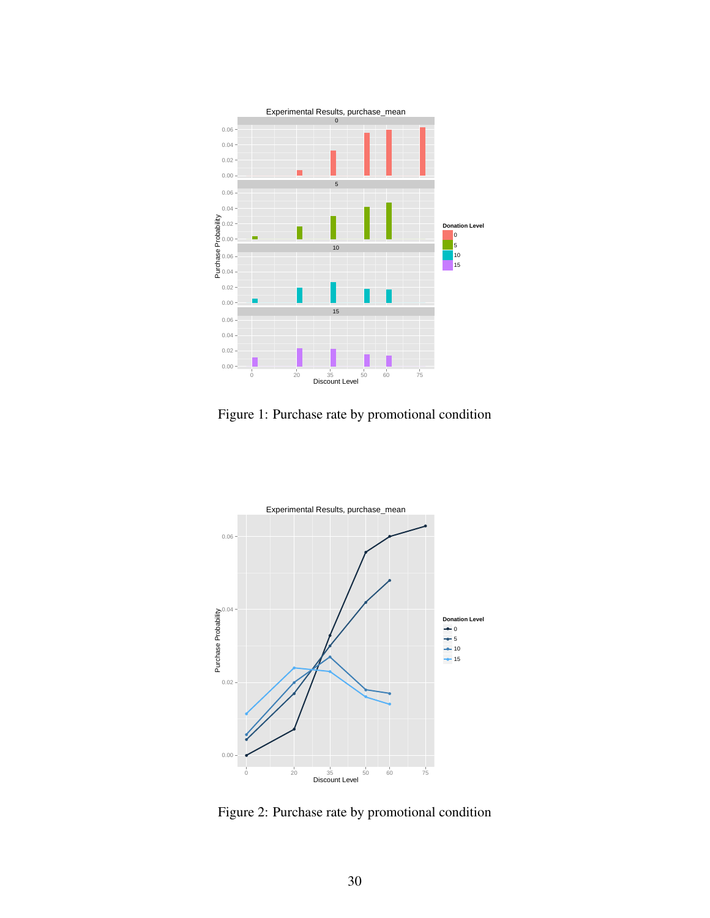

Figure 1: Purchase rate by promotional condition



Figure 2: Purchase rate by promotional condition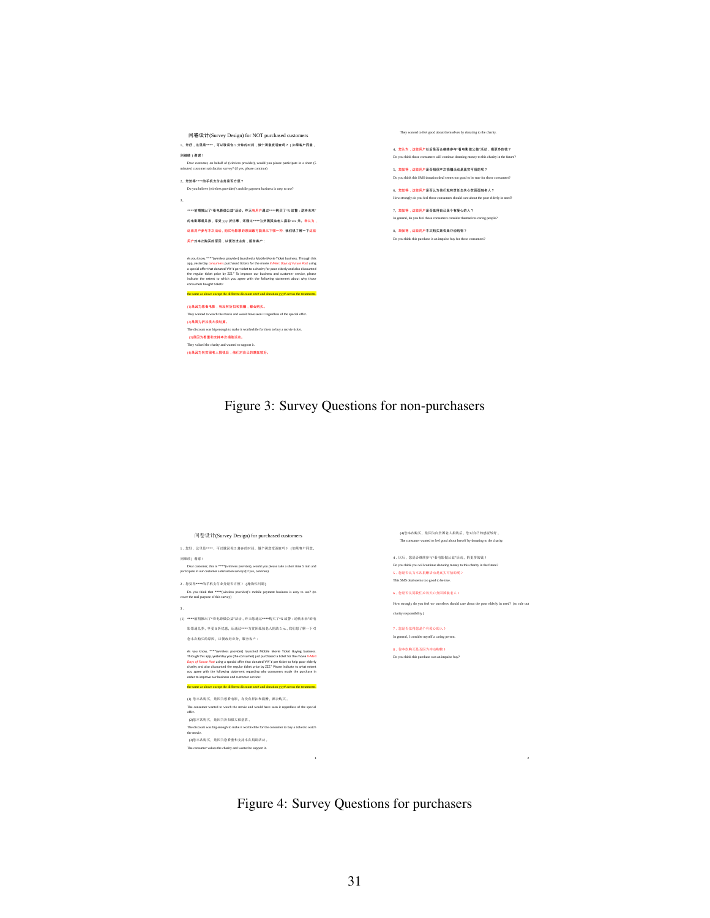

#### Figure 3: Survey Questions for non-purchasers



### Figure 4: Survey Questions for purchasers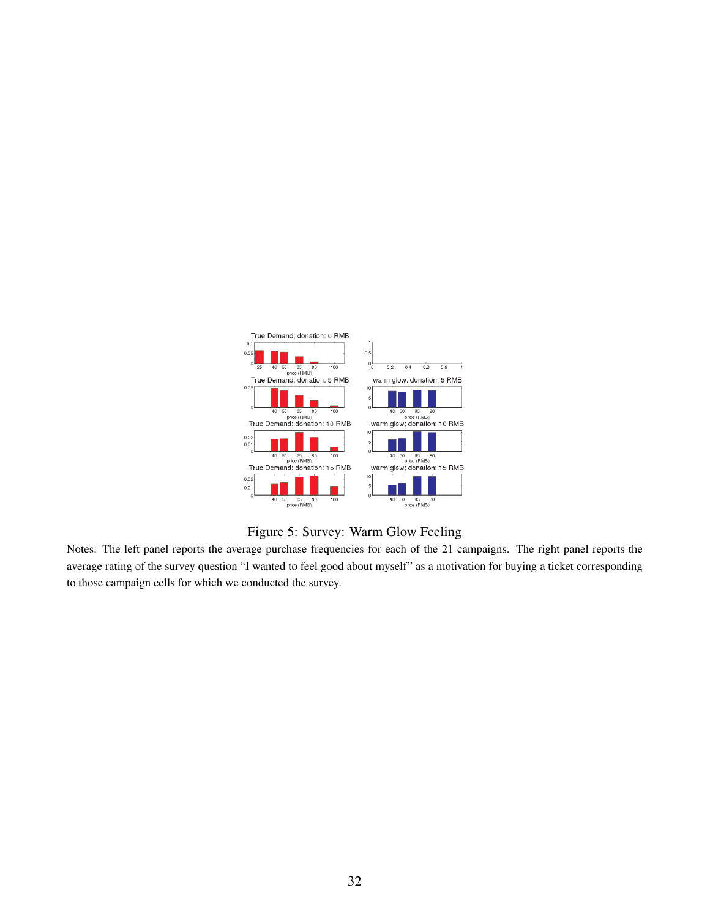



Notes: The left panel reports the average purchase frequencies for each of the 21 campaigns. The right panel reports the average rating of the survey question "I wanted to feel good about myself" as a motivation for buying a ticket corresponding to those campaign cells for which we conducted the survey.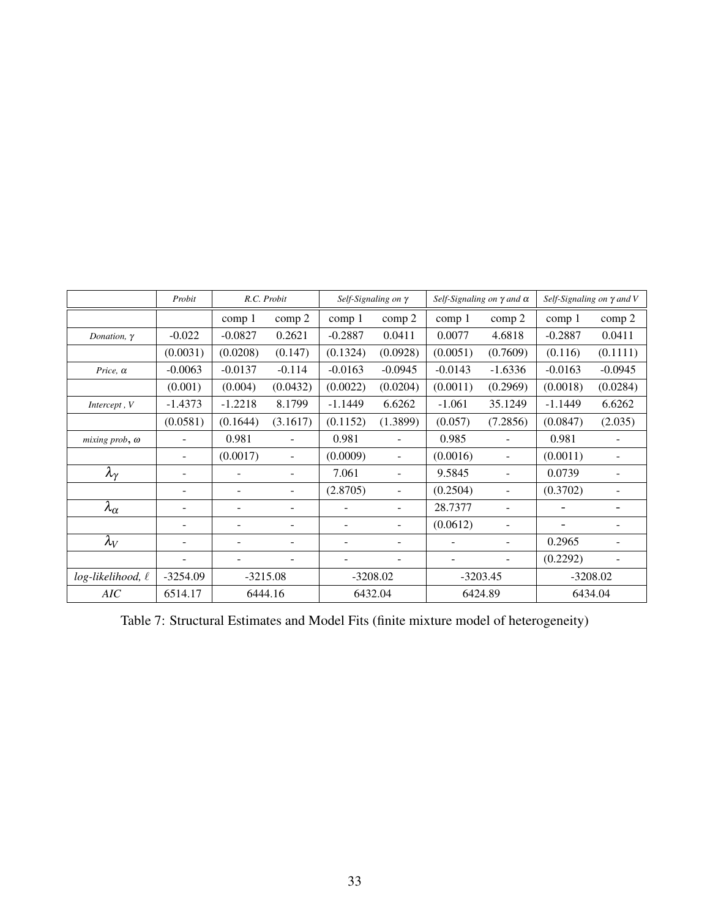|                           | Probit                   | R.C. Probit              |                          | Self-Signaling on $\gamma$ |                          | Self-Signaling on $\gamma$ and $\alpha$ |           | Self-Signaling on $\gamma$ and $V$ |                   |
|---------------------------|--------------------------|--------------------------|--------------------------|----------------------------|--------------------------|-----------------------------------------|-----------|------------------------------------|-------------------|
|                           |                          | comp 1                   | comp 2                   | comp <sub>1</sub>          | comp 2                   | comp <sub>1</sub>                       | comp 2    | comp <sub>1</sub>                  | comp 2            |
| Donation, $\gamma$        | $-0.022$                 | $-0.0827$                | 0.2621                   | $-0.2887$                  | 0.0411                   | 0.0077                                  | 4.6818    | $-0.2887$                          | 0.0411            |
|                           | (0.0031)                 | (0.0208)                 | (0.147)                  | (0.1324)                   | (0.0928)                 | (0.0051)                                | (0.7609)  | (0.116)                            | (0.1111)          |
| Price, $\alpha$           | $-0.0063$                | $-0.0137$                | $-0.114$                 | $-0.0163$                  | $-0.0945$                | $-0.0143$                               | $-1.6336$ | $-0.0163$                          | $-0.0945$         |
|                           | (0.001)                  | (0.004)                  | (0.0432)                 | (0.0022)                   | (0.0204)                 | (0.0011)                                | (0.2969)  | (0.0018)                           | (0.0284)          |
| Intercept, V              | $-1.4373$                | $-1.2218$                | 8.1799                   | $-1.1449$                  | 6.6262                   | $-1.061$                                | 35.1249   | $-1.1449$                          | 6.6262            |
|                           | (0.0581)                 | (0.1644)                 | (3.1617)                 | (0.1152)                   | (1.3899)                 | (0.057)                                 | (7.2856)  | (0.0847)                           | (2.035)           |
| $mixing prob, \omega$     | $\overline{\phantom{a}}$ | 0.981                    |                          | 0.981                      |                          | 0.985                                   |           | 0.981                              |                   |
|                           | $\overline{\phantom{a}}$ | (0.0017)                 | ۰                        | (0.0009)                   |                          | (0.0016)                                |           | (0.0011)                           | $\qquad \qquad -$ |
| $\lambda_{\gamma}$        | $\overline{\phantom{a}}$ | $\overline{\phantom{a}}$ | ۰                        | 7.061                      |                          | 9.5845                                  |           | 0.0739                             |                   |
|                           | $\overline{\phantom{a}}$ | -                        | $\overline{\phantom{m}}$ | (2.8705)                   | ۰                        | (0.2504)                                |           | (0.3702)                           | -                 |
| $\lambda_\alpha$          | $\overline{\phantom{a}}$ | ۰                        | $\overline{\phantom{m}}$ | ۰                          | ۰                        | 28.7377                                 | ۰         |                                    |                   |
|                           | $\overline{\phantom{a}}$ | ۰                        | $\overline{\phantom{m}}$ | ۰                          | ۰                        | (0.0612)                                |           |                                    | ۰                 |
| $\lambda_V$               | $\overline{\phantom{a}}$ | ۰                        | $\qquad \qquad -$        | ۰                          | $\overline{\phantom{a}}$ |                                         | ۰         | 0.2965                             | ۰                 |
|                           |                          |                          |                          |                            |                          |                                         |           | (0.2292)                           |                   |
| $log$ -likelihood, $\ell$ | $-3254.09$               | $-3215.08$               |                          | $-3208.02$                 |                          | $-3203.45$                              |           | $-3208.02$                         |                   |
| AIC                       | 6514.17                  |                          | 6444.16                  | 6432.04                    |                          | 6424.89                                 |           | 6434.04                            |                   |

Table 7: Structural Estimates and Model Fits (finite mixture model of heterogeneity)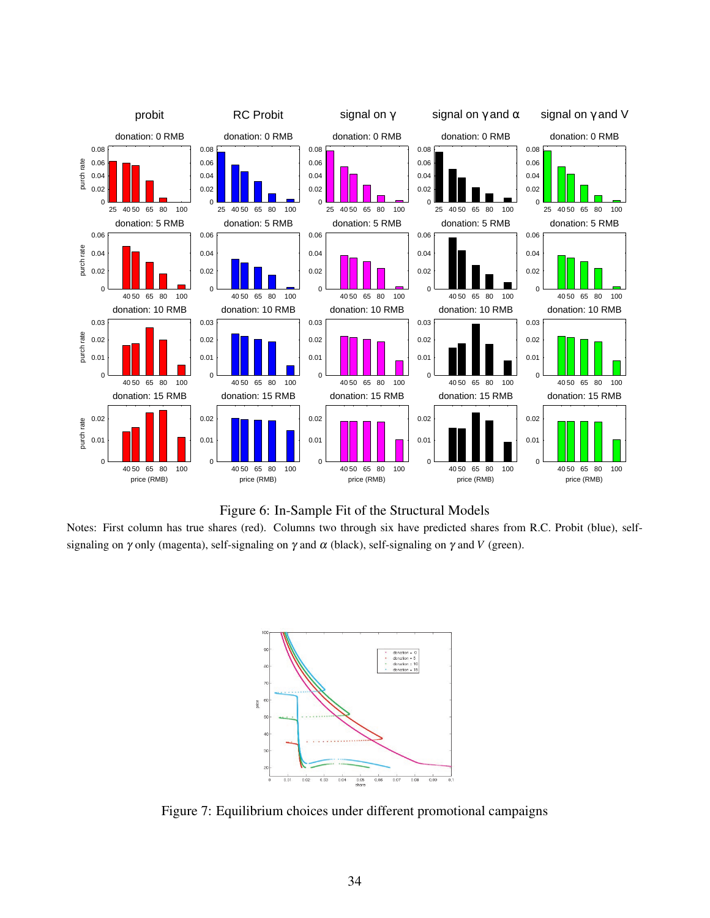



Notes: First column has true shares (red). Columns two through six have predicted shares from R.C. Probit (blue), selfsignaling on γ only (magenta), self-signaling on γ and α (black), self-signaling on γ and *V* (green).



Figure 7: Equilibrium choices under different promotional campaigns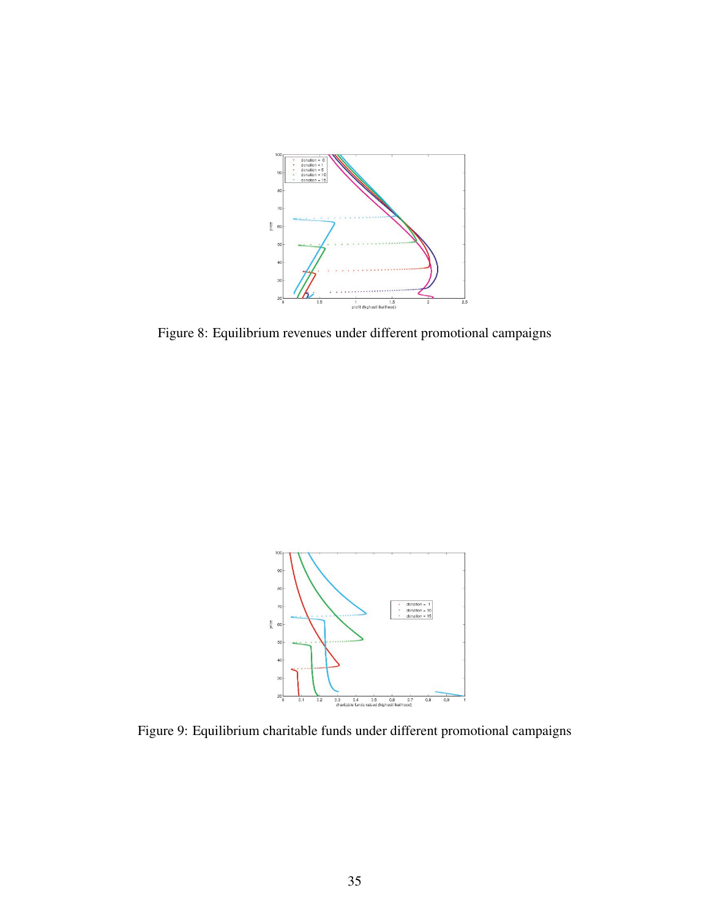

Figure 8: Equilibrium revenues under different promotional campaigns



Figure 9: Equilibrium charitable funds under different promotional campaigns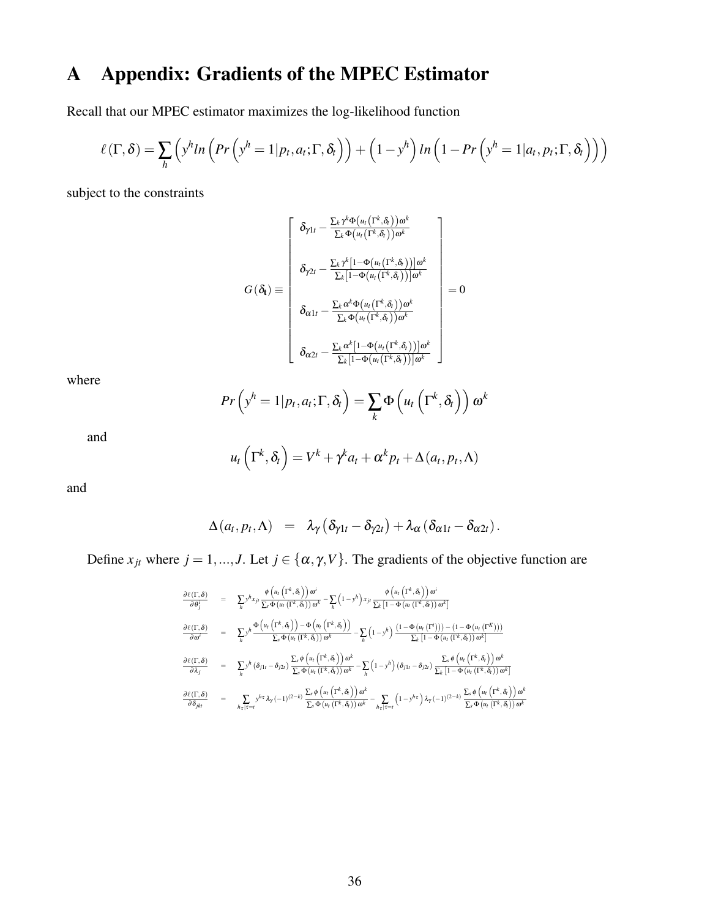# A Appendix: Gradients of the MPEC Estimator

Recall that our MPEC estimator maximizes the log-likelihood function

$$
\ell(\Gamma,\delta)=\sum_{h}\left(y^{h}ln\left(Pr\left(y^{h}=1|p_{t},a_{t};\Gamma,\delta_{t}\right)\right)+\left(1-y^{h}\right)ln\left(1-Pr\left(y^{h}=1|a_{t},p_{t};\Gamma,\delta_{t}\right)\right)\right)
$$

subject to the constraints

$$
G(\delta_{t}) \equiv \left[\begin{array}{c} \delta_{\gamma1t} - \frac{\sum_{k} \gamma^{k} \Phi(u_{t}(\Gamma^{k}, \delta_{t})) \omega^{k}}{\sum_{k} \Phi(u_{t}(\Gamma^{k}, \delta_{t})) \omega^{k}} \\ \delta_{\gamma2t} - \frac{\sum_{k} \gamma^{k} [1 - \Phi(u_{t}(\Gamma^{k}, \delta_{t}))] \omega^{k}}{\sum_{k} [1 - \Phi(u_{t}(\Gamma^{k}, \delta_{t}))] \omega^{k}} \\ \delta_{\alpha1t} - \frac{\sum_{k} \alpha^{k} \Phi(u_{t}(\Gamma^{k}, \delta_{t})) \omega^{k}}{\sum_{k} \Phi(u_{t}(\Gamma^{k}, \delta_{t})) \omega^{k}} \\ \delta_{\alpha2t} - \frac{\sum_{k} \alpha^{k} [1 - \Phi(u_{t}(\Gamma^{k}, \delta_{t}))] \omega^{k}}{\sum_{k} [1 - \Phi(u_{t}(\Gamma^{k}, \delta_{t}))] \omega^{k}} \end{array}\right] = 0
$$

where

$$
Pr\left(y^h = 1 | p_t, a_t; \Gamma, \delta_t\right) = \sum_k \Phi\left(u_t\left(\Gamma^k, \delta_t\right)\right) \omega^k
$$

and

$$
u_t\left(\Gamma^k,\delta_t\right) = V^k + \gamma^k a_t + \alpha^k p_t + \Delta(a_t,p_t,\Lambda)
$$

and

$$
\Delta(a_t, p_t, \Lambda) = \lambda_{\gamma} (\delta_{\gamma 1t} - \delta_{\gamma 2t}) + \lambda_{\alpha} (\delta_{\alpha 1t} - \delta_{\alpha 2t}).
$$

Define  $x_{jt}$  where  $j = 1, ..., J$ . Let  $j \in \{\alpha, \gamma, V\}$ . The gradients of the objective function are

$$
\frac{\partial \ell(\Gamma, \delta)}{\partial \theta_j^i} = \sum_{h} y^h x_{j} \frac{\phi \left( u_t \left( \Gamma^k, \delta_t \right) \right) \omega^i}{\sum_s \Phi \left( u_t \left( \Gamma^k, \delta_t \right) \right) \omega^k} - \sum_{h} \left( 1 - y^h \right) x_{j} \frac{\phi \left( u_t \left( \Gamma^k, \delta_t \right) \right) \omega^i}{\sum_k \left[ 1 - \Phi \left( u_t \left( \Gamma^k, \delta_t \right) \right) \omega^k \right]} \n\frac{\partial \ell(\Gamma, \delta)}{\partial \omega^i} = \sum_{h} y^h \frac{\Phi \left( u_t \left( \Gamma^k, \delta_t \right) \right) - \Phi \left( u_t \left( \Gamma^k, \delta_t \right) \right)}{\sum_s \Phi \left( u_t \left( \Gamma^k, \delta_t \right) \right) \omega^k} - \sum_{h} \left( 1 - y^h \right) \frac{\left( 1 - \Phi \left( u_t \left( \Gamma^k \right) \right) \right) - \left( 1 - \Phi \left( u_t \left( \Gamma^k \right) \right) \right)}{\sum_k \left[ 1 - \Phi \left( u_t \left( \Gamma^k, \delta_t \right) \right) \omega^k \right]} \n\frac{\partial \ell(\Gamma, \delta)}{\partial \lambda_j} = \sum_{h} y^h \left( \delta_{j1t} - \delta_{j2t} \right) \frac{\sum_s \phi \left( u_t \left( \Gamma^k, \delta_t \right) \right) \omega^k}{\sum_s \Phi \left( u_t \left( \Gamma^k, \delta_t \right) \right) \omega^k} - \sum_{h} \left( 1 - y^h \right) \left( \delta_{j1t} - \delta_{j2t} \right) \frac{\sum_s \phi \left( u_t \left( \Gamma^k, \delta_t \right) \right) \omega^k}{\sum_s \left[ 1 - \Phi \left( u_t \left( \Gamma^k, \delta_t \right) \right) \omega^k \right]} \n\frac{\partial \ell(\Gamma, \delta)}{\partial \delta_{jkt}} = \sum_{h \in \mathbb{T} = t} y^h \tau \lambda_{\gamma} \left( -1 \right)^{(2-k)} \frac{\sum_s \phi \left( u_t \left( \Gamma^k, \delta_t \right) \right) \omega^k}{\sum_s \Phi \left( u_t
$$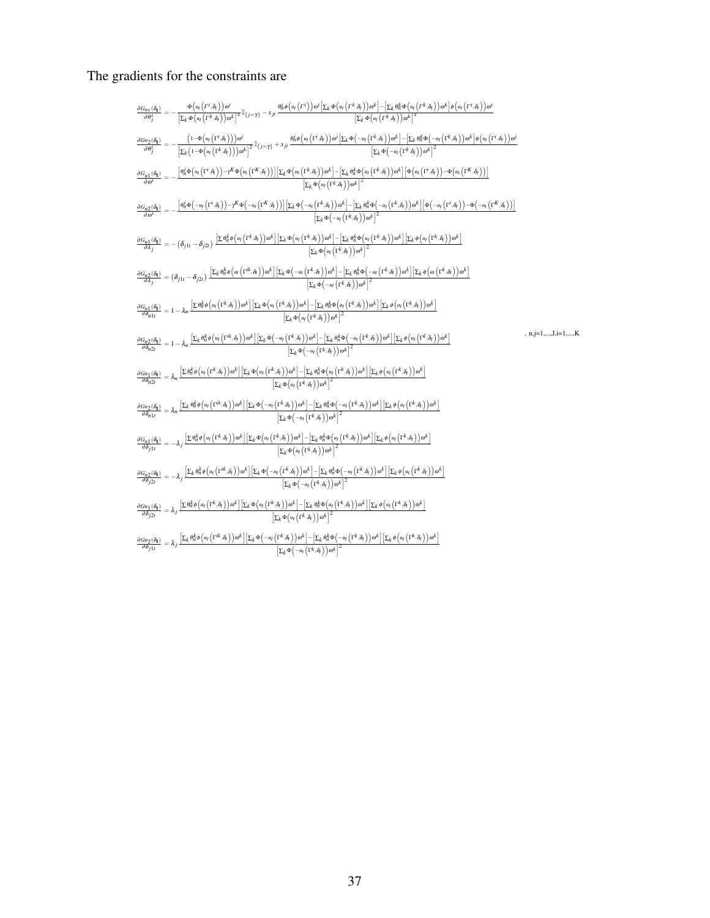### The gradients for the constraints are

$$
\begin{split} &\frac{\partial \sigma_{n1}(\delta_{1})}{\partial \theta_{j}^{i}}=-\frac{\Phi(u_{1}(r^{i},\delta_{1}))\omega^{i}}{2\pi\delta_{1}^{i}}\\ &\frac{\partial \sigma_{n1}(\delta_{1})}{\partial \theta_{j}^{i}}=-\frac{1}{\left[\sum_{k}\Phi(u_{1}(r^{i},\delta_{k}))\omega^{k}\right]^{2}\mathbb{I}_{\{r=r^{i}\}}-\nu_{1}\rho_{n}^{i}\phi(u_{1}(r^{i},\delta_{k}))\omega^{k}\right]^{2}\mathbb{I}_{\{k}\Phi(u_{1}(r^{i},\delta_{k}))\omega^{k}\right]^{2}}\mathbb{I}_{\{k}\Phi(u_{1}(r^{i},\delta_{k}))\omega^{k}\right]^{2}}\\ &\frac{\partial \sigma_{n1}(\delta_{1})}{\partial \theta_{j}^{i}}=-\frac{\left(1-\Phi(u_{1}(r^{i},\delta_{k}))\omega^{k}\right]^{2}\mathbb{I}_{\{r=r^{i}\}}+\nu_{1}\rho_{n}^{i}\phi(u_{1}(r^{i},\delta_{k}))\omega^{k}\right]^{2}\mathbb{I}_{\{k}\Phi(u_{1}(r^{i},\delta_{k}))\omega^{k}\right]^{2}}{\left[\sum_{k}\Phi(u_{1}(r^{i},\delta_{k}))\omega^{k}\right]^{2}}\\ &\frac{\partial \sigma_{n1}(\delta_{1})}{\partial \omega^{i}}=-\frac{\left[\theta_{n}^{i}\Phi(u_{1}(r^{i},\delta_{k}))\omega^{k}\right]^{2}\mathbb{I}_{\{r=r^{i}\}}+\nu_{1}\rho_{n}^{i}\phi(u_{1}(r^{i},\delta_{k}))\omega^{k}\right]^{2}\mathbb{I}_{\{k}\Phi(u_{1}(r^{i},\delta_{k}))\omega^{k}\right]^{2}}{\left[\sum_{k}\Phi(u_{1}(r^{i},\delta_{k}))\omega^{k}\right]^{2}}\\ &\frac{\partial \sigma_{n1}(\delta_{1})}{\partial \omega^{i}}=-\frac{\left[\theta_{n}^{i}\Phi(u_{1}(r^{i},\delta_{k}))\omega^{k}\right]^{2}\mathbb{I}_{\{k}\Phi(u_{1}(r^{i},\delta_{k}))\omega^{k}\right]^{2}}{\mathbb{I}_{\{k}\Phi(u_{1}(r^{i},\delta_{k}))\omega^{k}\right]^{2}}\\ &\frac{\partial \sigma_{n1}(\delta_{1})}{\partial \omega_{n}^{i}}=-\left[\theta_{n
$$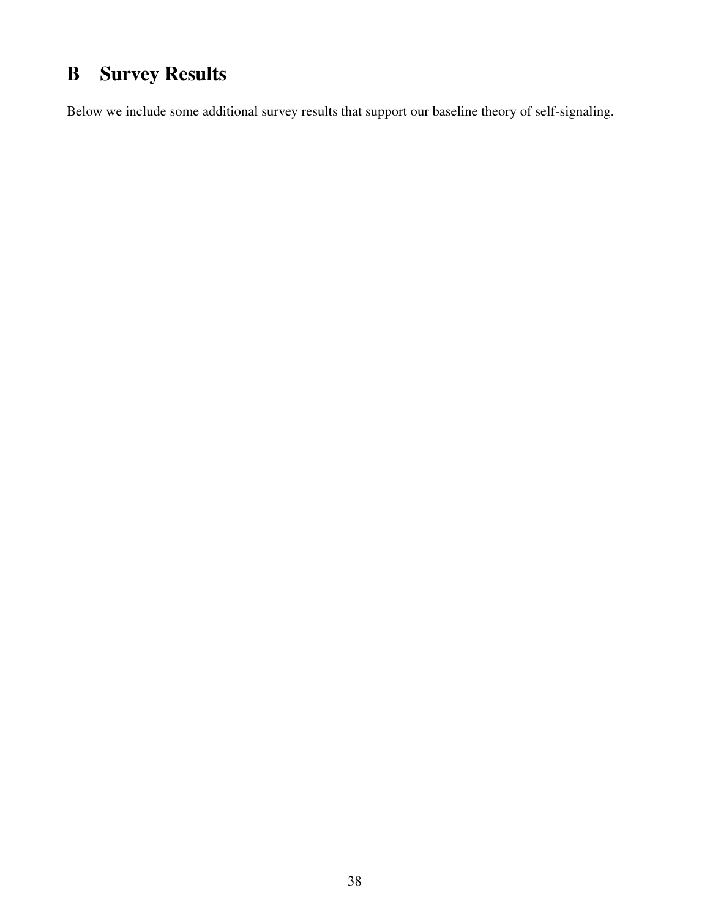# B Survey Results

Below we include some additional survey results that support our baseline theory of self-signaling.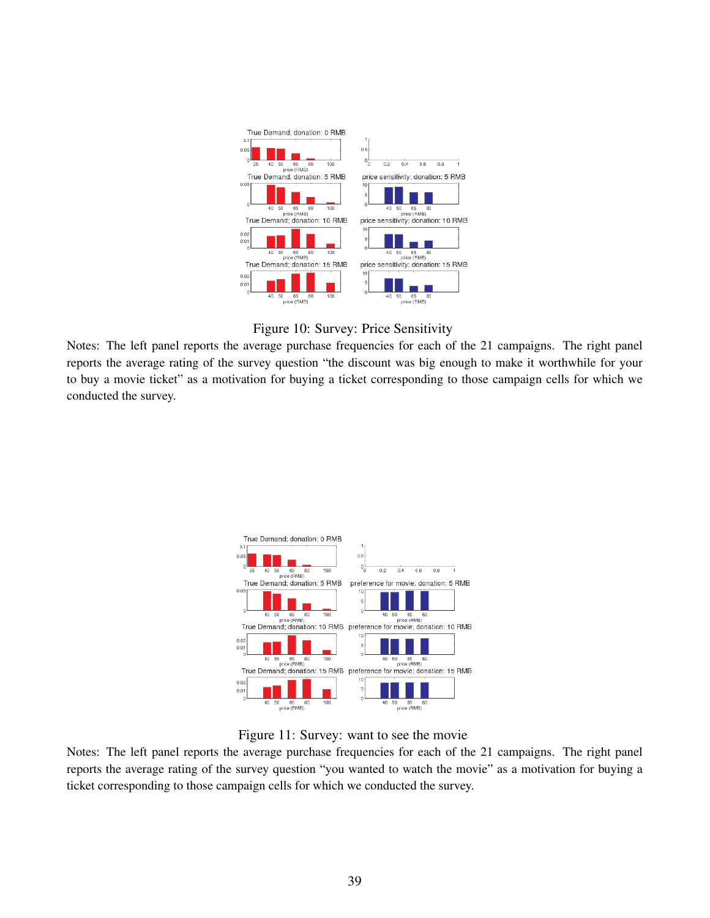



Notes: The left panel reports the average purchase frequencies for each of the 21 campaigns. The right panel reports the average rating of the survey question "the discount was big enough to make it worthwhile for your to buy a movie ticket" as a motivation for buying a ticket corresponding to those campaign cells for which we conducted the survey.



Figure 11: Survey: want to see the movie

Notes: The left panel reports the average purchase frequencies for each of the 21 campaigns. The right panel reports the average rating of the survey question "you wanted to watch the movie" as a motivation for buying a ticket corresponding to those campaign cells for which we conducted the survey.